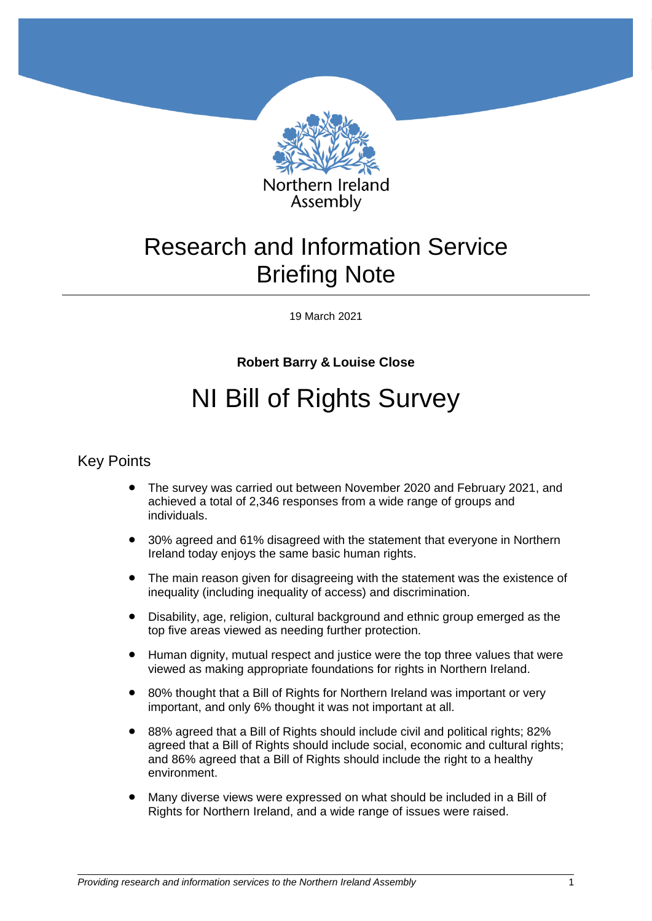

# Research and Information Service Briefing Note

19 March 2021

# **Robert Barry & Louise Close**

# NI Bill of Rights Survey

## Key Points

- The survey was carried out between November 2020 and February 2021, and achieved a total of 2,346 responses from a wide range of groups and individuals.
- 30% agreed and 61% disagreed with the statement that everyone in Northern Ireland today enjoys the same basic human rights.
- The main reason given for disagreeing with the statement was the existence of inequality (including inequality of access) and discrimination.
- Disability, age, religion, cultural background and ethnic group emerged as the top five areas viewed as needing further protection.
- Human dignity, mutual respect and justice were the top three values that were viewed as making appropriate foundations for rights in Northern Ireland.
- 80% thought that a Bill of Rights for Northern Ireland was important or very important, and only 6% thought it was not important at all.
- 88% agreed that a Bill of Rights should include civil and political rights; 82% agreed that a Bill of Rights should include social, economic and cultural rights; and 86% agreed that a Bill of Rights should include the right to a healthy environment.
- Many diverse views were expressed on what should be included in a Bill of Rights for Northern Ireland, and a wide range of issues were raised.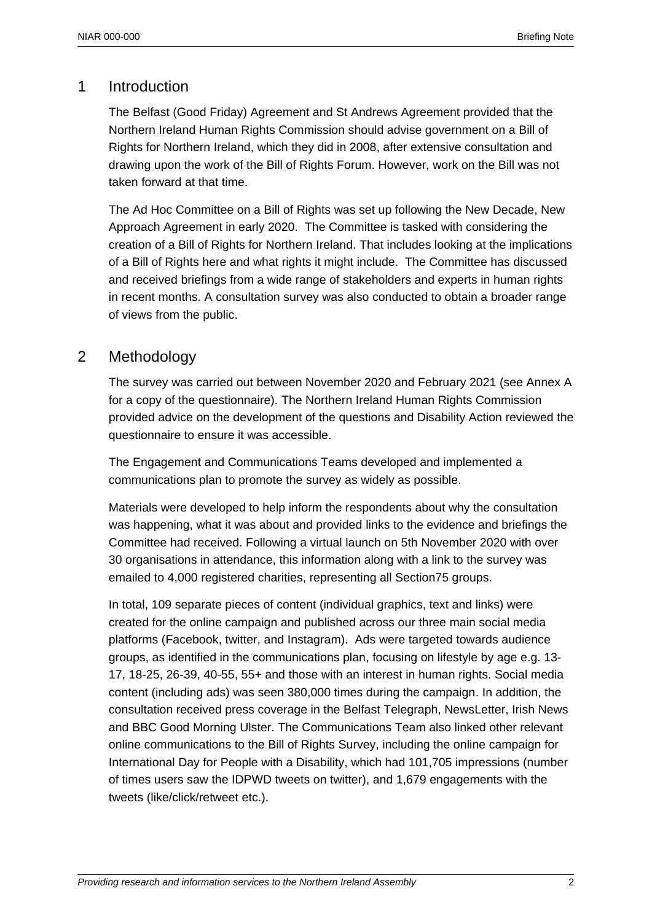# 1 Introduction

The Belfast (Good Friday) Agreement and St Andrews Agreement provided that the Northern Ireland Human Rights Commission should advise government on a Bill of Rights for Northern Ireland, which they did in 2008, after extensive consultation and drawing upon the work of the Bill of Rights Forum. However, work on the Bill was not taken forward at that time.

The Ad Hoc Committee on a Bill of Rights was set up following the New Decade, New Approach Agreement in early 2020. The Committee is tasked with considering the creation of a Bill of Rights for Northern Ireland. That includes looking at the implications of a Bill of Rights here and what rights it might include. The Committee has discussed and received briefings from a wide range of stakeholders and experts in human rights in recent months. A consultation survey was also conducted to obtain a broader range of views from the public.

# 2 Methodology

The survey was carried out between November 2020 and February 2021 (see Annex A for a copy of the questionnaire). The Northern Ireland Human Rights Commission provided advice on the development of the questions and Disability Action reviewed the questionnaire to ensure it was accessible.

The Engagement and Communications Teams developed and implemented a communications plan to promote the survey as widely as possible.

Materials were developed to help inform the respondents about why the consultation was happening, what it was about and provided links to the evidence and briefings the Committee had received. Following a virtual launch on 5th November 2020 with over 30 organisations in attendance, this information along with a link to the survey was emailed to 4,000 registered charities, representing all Section75 groups.

In total, 109 separate pieces of content (individual graphics, text and links) were created for the online campaign and published across our three main social media platforms (Facebook, twitter, and Instagram). Ads were targeted towards audience groups, as identified in the communications plan, focusing on lifestyle by age e.g. 13- 17, 18-25, 26-39, 40-55, 55+ and those with an interest in human rights. Social media content (including ads) was seen 380,000 times during the campaign. In addition, the consultation received press coverage in the Belfast Telegraph, NewsLetter, Irish News and BBC Good Morning Ulster. The Communications Team also linked other relevant online communications to the Bill of Rights Survey, including the online campaign for International Day for People with a Disability, which had 101,705 impressions (number of times users saw the IDPWD tweets on twitter), and 1,679 engagements with the tweets (like/click/retweet etc.).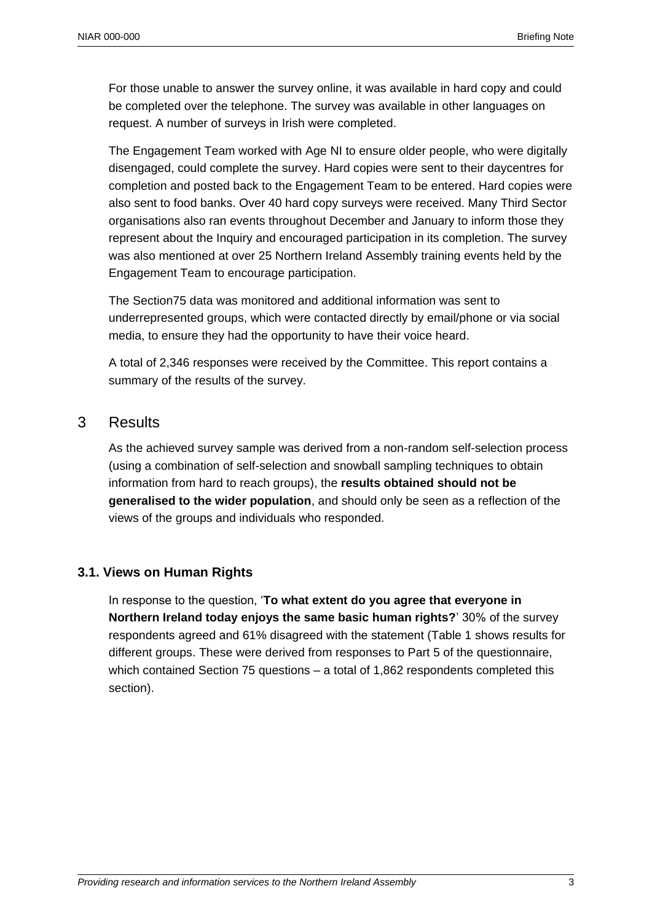For those unable to answer the survey online, it was available in hard copy and could be completed over the telephone. The survey was available in other languages on request. A number of surveys in Irish were completed.

The Engagement Team worked with Age NI to ensure older people, who were digitally disengaged, could complete the survey. Hard copies were sent to their daycentres for completion and posted back to the Engagement Team to be entered. Hard copies were also sent to food banks. Over 40 hard copy surveys were received. Many Third Sector organisations also ran events throughout December and January to inform those they represent about the Inquiry and encouraged participation in its completion. The survey was also mentioned at over 25 Northern Ireland Assembly training events held by the Engagement Team to encourage participation.

The Section75 data was monitored and additional information was sent to underrepresented groups, which were contacted directly by email/phone or via social media, to ensure they had the opportunity to have their voice heard.

A total of 2,346 responses were received by the Committee. This report contains a summary of the results of the survey.

## 3 Results

As the achieved survey sample was derived from a non-random self-selection process (using a combination of self-selection and snowball sampling techniques to obtain information from hard to reach groups), the **results obtained should not be generalised to the wider population**, and should only be seen as a reflection of the views of the groups and individuals who responded.

## **3.1. Views on Human Rights**

In response to the question, '**To what extent do you agree that everyone in Northern Ireland today enjoys the same basic human rights?**' 30% of the survey respondents agreed and 61% disagreed with the statement (Table 1 shows results for different groups. These were derived from responses to Part 5 of the questionnaire, which contained Section 75 questions – a total of 1,862 respondents completed this section).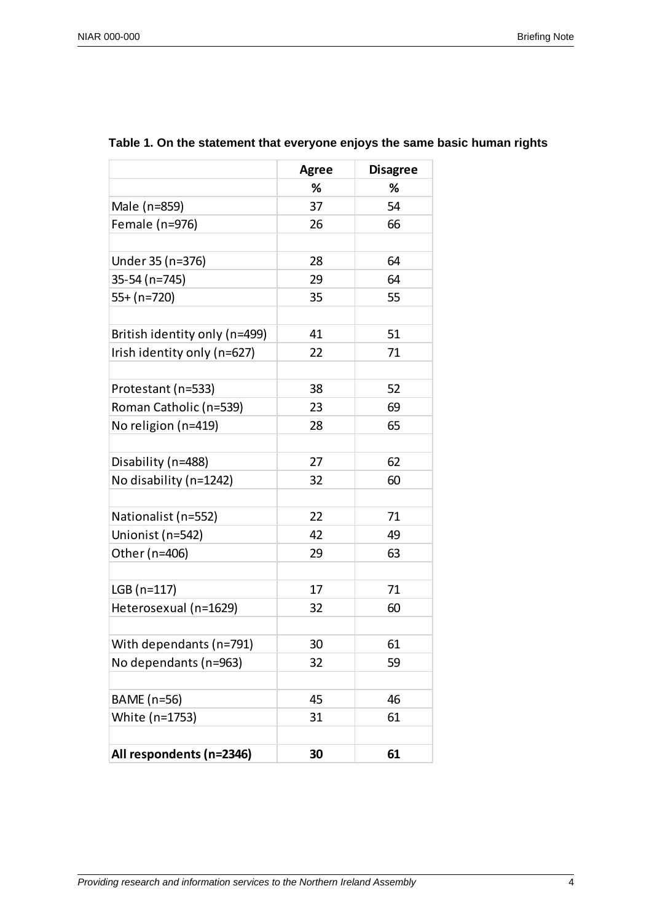|                               | <b>Agree</b> | <b>Disagree</b> |
|-------------------------------|--------------|-----------------|
|                               | %            | %               |
| Male (n=859)                  | 37           | 54              |
| Female (n=976)                | 26           | 66              |
|                               |              |                 |
| Under 35 (n=376)              | 28           | 64              |
| 35-54 (n=745)                 | 29           | 64              |
| 55+ (n=720)                   | 35           | 55              |
|                               |              |                 |
| British identity only (n=499) | 41           | 51              |
| Irish identity only (n=627)   | 22           | 71              |
|                               |              |                 |
| Protestant (n=533)            | 38           | 52              |
| Roman Catholic (n=539)        | 23           | 69              |
| No religion (n=419)           | 28           | 65              |
| Disability (n=488)            | 27           | 62              |
| No disability (n=1242)        | 32           | 60              |
|                               |              |                 |
| Nationalist (n=552)           | 22           | 71              |
| Unionist (n=542)              | 42           | 49              |
| Other (n=406)                 | 29           | 63              |
| LGB (n=117)                   | 17           | 71              |
| Heterosexual (n=1629)         | 32           | 60              |
|                               |              |                 |
| With dependants (n=791)       | 30           | 61              |
| No dependants (n=963)         | 32           | 59              |
|                               |              |                 |
| BAME (n=56)                   | 45           | 46              |
| White (n=1753)                | 31           | 61              |
| All respondents (n=2346)      | 30           | 61              |

## **Table 1. On the statement that everyone enjoys the same basic human rights**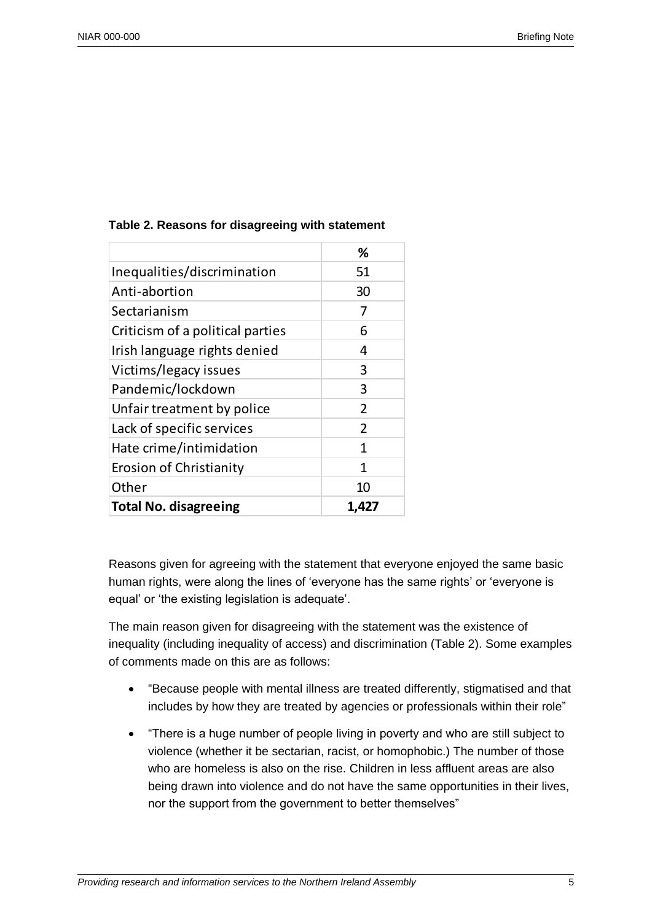|                                  | %              |
|----------------------------------|----------------|
| Inequalities/discrimination      | 51             |
| Anti-abortion                    | 30             |
| Sectarianism                     | 7              |
| Criticism of a political parties | 6              |
| Irish language rights denied     | 4              |
| Victims/legacy issues            | 3              |
| Pandemic/lockdown                | 3              |
| Unfair treatment by police       | $\overline{2}$ |
| Lack of specific services        | $\overline{2}$ |
| Hate crime/intimidation          | 1              |
| Erosion of Christianity          | 1              |
| Other                            | 10             |
| <b>Total No. disagreeing</b>     | 1.427          |

#### **Table 2. Reasons for disagreeing with statement**

Reasons given for agreeing with the statement that everyone enjoyed the same basic human rights, were along the lines of 'everyone has the same rights' or 'everyone is equal' or 'the existing legislation is adequate'.

The main reason given for disagreeing with the statement was the existence of inequality (including inequality of access) and discrimination (Table 2). Some examples of comments made on this are as follows:

- "Because people with mental illness are treated differently, stigmatised and that includes by how they are treated by agencies or professionals within their role"
- "There is a huge number of people living in poverty and who are still subject to violence (whether it be sectarian, racist, or homophobic.) The number of those who are homeless is also on the rise. Children in less affluent areas are also being drawn into violence and do not have the same opportunities in their lives, nor the support from the government to better themselves"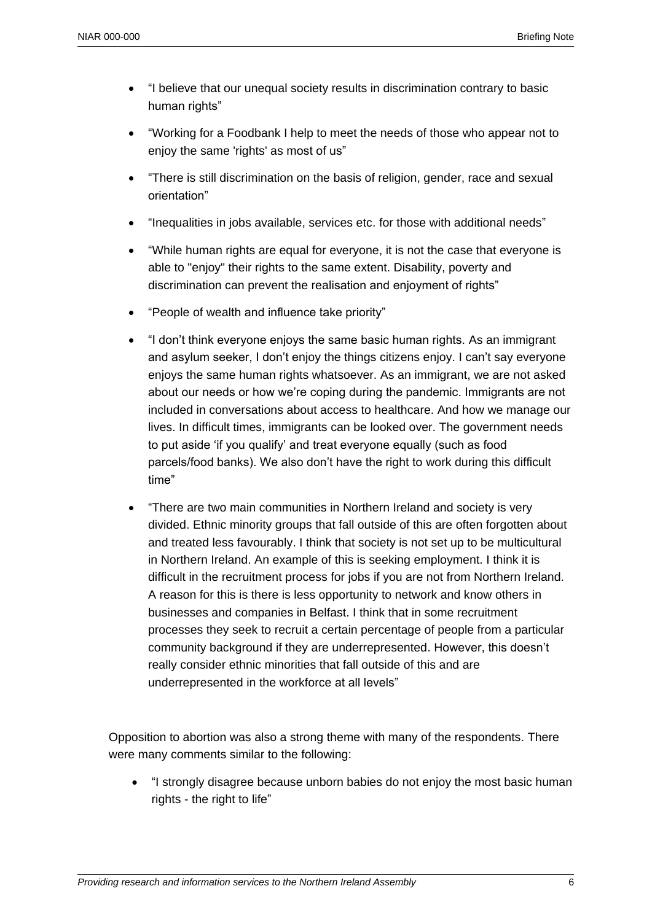- "I believe that our unequal society results in discrimination contrary to basic human rights"
- "Working for a Foodbank I help to meet the needs of those who appear not to enjoy the same 'rights' as most of us"
- "There is still discrimination on the basis of religion, gender, race and sexual orientation"
- "Inequalities in jobs available, services etc. for those with additional needs"
- "While human rights are equal for everyone, it is not the case that everyone is able to "enjoy" their rights to the same extent. Disability, poverty and discrimination can prevent the realisation and enjoyment of rights"
- "People of wealth and influence take priority"
- "I don't think everyone enjoys the same basic human rights. As an immigrant and asylum seeker, I don't enjoy the things citizens enjoy. I can't say everyone enjoys the same human rights whatsoever. As an immigrant, we are not asked about our needs or how we're coping during the pandemic. Immigrants are not included in conversations about access to healthcare. And how we manage our lives. In difficult times, immigrants can be looked over. The government needs to put aside 'if you qualify' and treat everyone equally (such as food parcels/food banks). We also don't have the right to work during this difficult time"
- "There are two main communities in Northern Ireland and society is very divided. Ethnic minority groups that fall outside of this are often forgotten about and treated less favourably. I think that society is not set up to be multicultural in Northern Ireland. An example of this is seeking employment. I think it is difficult in the recruitment process for jobs if you are not from Northern Ireland. A reason for this is there is less opportunity to network and know others in businesses and companies in Belfast. I think that in some recruitment processes they seek to recruit a certain percentage of people from a particular community background if they are underrepresented. However, this doesn't really consider ethnic minorities that fall outside of this and are underrepresented in the workforce at all levels"

Opposition to abortion was also a strong theme with many of the respondents. There were many comments similar to the following:

 "I strongly disagree because unborn babies do not enjoy the most basic human rights - the right to life"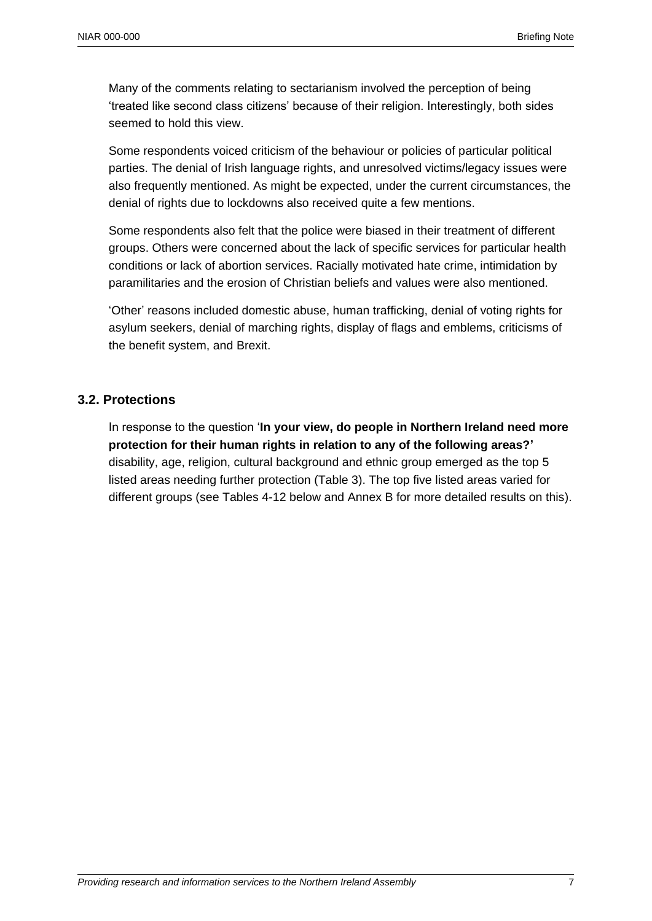Many of the comments relating to sectarianism involved the perception of being 'treated like second class citizens' because of their religion. Interestingly, both sides seemed to hold this view.

Some respondents voiced criticism of the behaviour or policies of particular political parties. The denial of Irish language rights, and unresolved victims/legacy issues were also frequently mentioned. As might be expected, under the current circumstances, the denial of rights due to lockdowns also received quite a few mentions.

Some respondents also felt that the police were biased in their treatment of different groups. Others were concerned about the lack of specific services for particular health conditions or lack of abortion services. Racially motivated hate crime, intimidation by paramilitaries and the erosion of Christian beliefs and values were also mentioned.

'Other' reasons included domestic abuse, human trafficking, denial of voting rights for asylum seekers, denial of marching rights, display of flags and emblems, criticisms of the benefit system, and Brexit.

#### **3.2. Protections**

In response to the question '**In your view, do people in Northern Ireland need more protection for their human rights in relation to any of the following areas?'** disability, age, religion, cultural background and ethnic group emerged as the top 5 listed areas needing further protection (Table 3). The top five listed areas varied for different groups (see Tables 4-12 below and Annex B for more detailed results on this).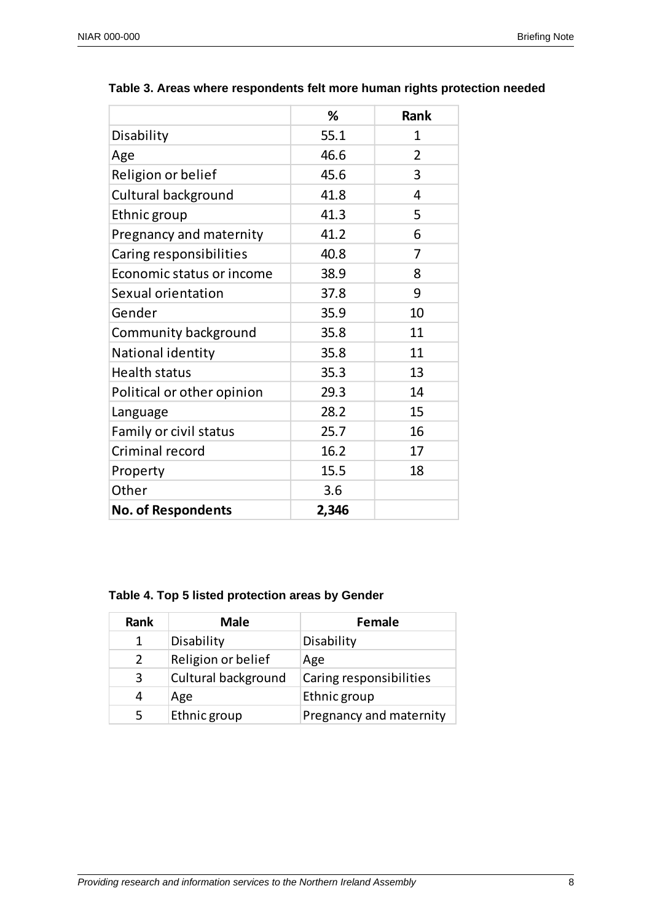$\Gamma$ 

٦

|                            | %     | Rank           |
|----------------------------|-------|----------------|
| Disability                 | 55.1  | 1              |
| Age                        | 46.6  | $\overline{2}$ |
| Religion or belief         | 45.6  | 3              |
| Cultural background        | 41.8  | 4              |
| Ethnic group               | 41.3  | 5              |
| Pregnancy and maternity    | 41.2  | 6              |
| Caring responsibilities    | 40.8  | 7              |
| Economic status or income  | 38.9  | 8              |
| Sexual orientation         | 37.8  | 9              |
| Gender                     | 35.9  | 10             |
| Community background       | 35.8  | 11             |
| National identity          | 35.8  | 11             |
| <b>Health status</b>       | 35.3  | 13             |
| Political or other opinion | 29.3  | 14             |
| Language                   | 28.2  | 15             |
| Family or civil status     | 25.7  | 16             |
| Criminal record            | 16.2  | 17             |
| Property                   | 15.5  | 18             |
| Other                      | 3.6   |                |
| <b>No. of Respondents</b>  | 2,346 |                |

#### **Table 3. Areas where respondents felt more human rights protection needed**

T

#### **Table 4. Top 5 listed protection areas by Gender**

| <b>Rank</b>   | <b>Male</b>         | Female                  |
|---------------|---------------------|-------------------------|
| 1             | Disability          | Disability              |
| $\mathcal{P}$ | Religion or belief  | Age                     |
| 3             | Cultural background | Caring responsibilities |
| 4             | Age                 | Ethnic group            |
| 5             | Ethnic group        | Pregnancy and maternity |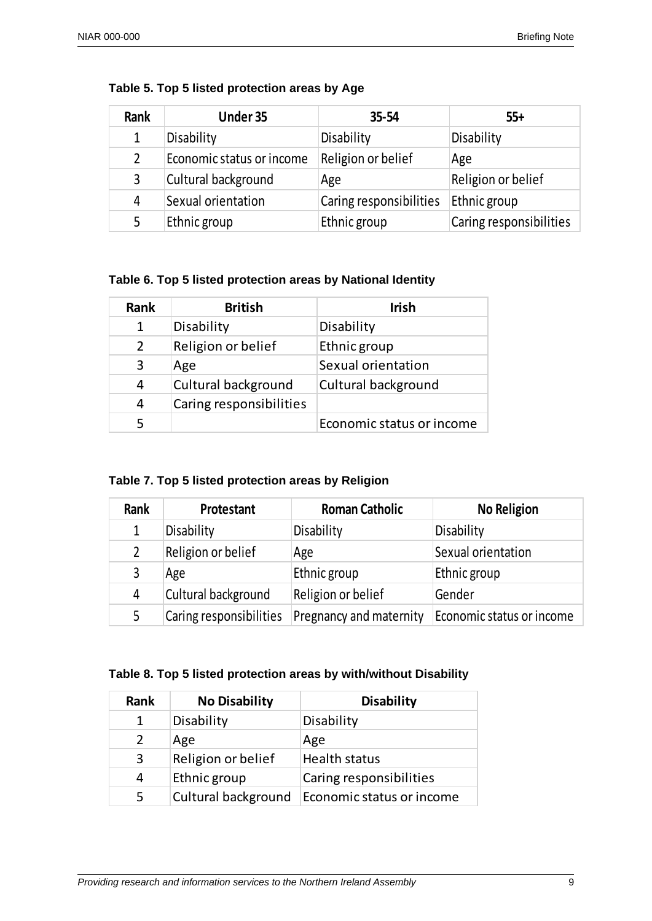| Rank           | Under 35                  | $35 - 54$               | $55+$                   |
|----------------|---------------------------|-------------------------|-------------------------|
| 1              | Disability                | Disability              | Disability              |
| $\overline{2}$ | Economic status or income | Religion or belief      | Age                     |
| 3              | Cultural background       | Age                     | Religion or belief      |
| 4              | Sexual orientation        | Caring responsibilities | Ethnic group            |
| 5              | Ethnic group              | Ethnic group            | Caring responsibilities |

| Table 5. Top 5 listed protection areas by Age |  |  |  |  |  |
|-----------------------------------------------|--|--|--|--|--|
|-----------------------------------------------|--|--|--|--|--|

**Table 6. Top 5 listed protection areas by National Identity**

| Rank          | <b>British</b>          | <b>Irish</b>              |
|---------------|-------------------------|---------------------------|
|               | Disability              | Disability                |
| $\mathcal{P}$ | Religion or belief      | Ethnic group              |
| 3             | Age                     | Sexual orientation        |
| 4             | Cultural background     | Cultural background       |
| 4             | Caring responsibilities |                           |
| 5             |                         | Economic status or income |

**Table 7. Top 5 listed protection areas by Religion**

| Rank           | Protestant              | <b>Roman Catholic</b>   | <b>No Religion</b>        |
|----------------|-------------------------|-------------------------|---------------------------|
| 1              | Disability              | Disability              | Disability                |
| $\overline{2}$ | Religion or belief      | Age                     | Sexual orientation        |
| 3              | Age                     | Ethnic group            | Ethnic group              |
| 4              | Cultural background     | Religion or belief      | <b>Gender</b>             |
| 5              | Caring responsibilities | Pregnancy and maternity | Economic status or income |

#### **Table 8. Top 5 listed protection areas by with/without Disability**

| Rank          | <b>No Disability</b> | <b>Disability</b>         |
|---------------|----------------------|---------------------------|
|               | Disability           | Disability                |
| $\mathcal{L}$ | Age                  | Age                       |
| 3             | Religion or belief   | Health status             |
| 4             | Ethnic group         | Caring responsibilities   |
| 5             | Cultural background  | Economic status or income |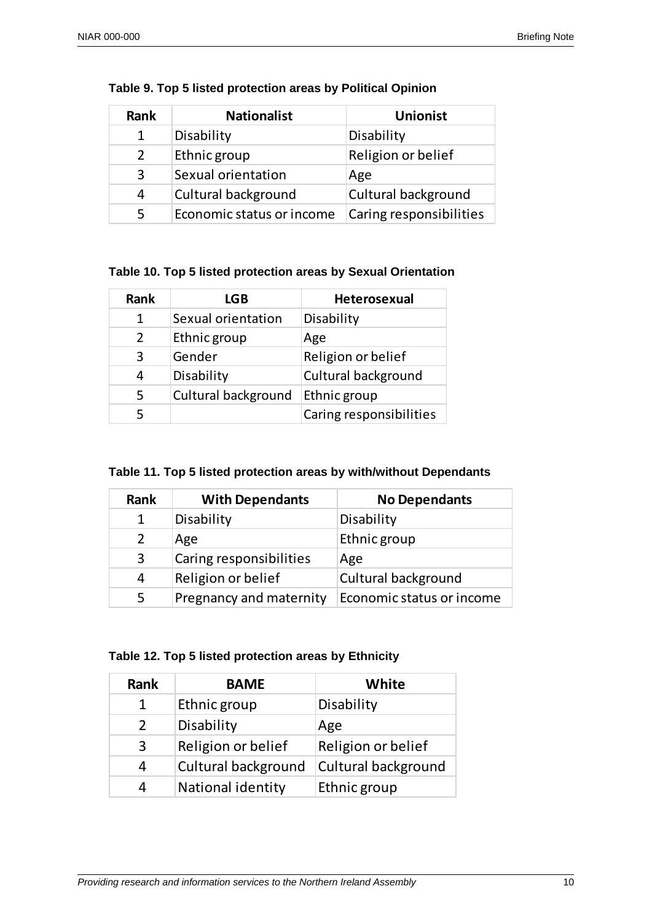| Rank          | <b>Nationalist</b>        | <b>Unionist</b>         |
|---------------|---------------------------|-------------------------|
| 1             | Disability                | Disability              |
| $\mathcal{P}$ | Ethnic group              | Religion or belief      |
| 3             | Sexual orientation        | Age                     |
| 4             | Cultural background       | Cultural background     |
| 5             | Economic status or income | Caring responsibilities |

#### **Table 9. Top 5 listed protection areas by Political Opinion**

## **Table 10. Top 5 listed protection areas by Sexual Orientation**

| <b>Rank</b> | LGB                 | Heterosexual            |
|-------------|---------------------|-------------------------|
| 1           | Sexual orientation  | Disability              |
| 2           | Ethnic group        | Age                     |
| 3           | Gender              | Religion or belief      |
| 4           | Disability          | Cultural background     |
| 5           | Cultural background | Ethnic group            |
| 5           |                     | Caring responsibilities |

#### **Table 11. Top 5 listed protection areas by with/without Dependants**

| Rank | <b>With Dependants</b>  | <b>No Dependants</b>      |
|------|-------------------------|---------------------------|
| 1    | Disability              | Disability                |
| 2    | Age                     | Ethnic group              |
| 3    | Caring responsibilities | Age                       |
| 4    | Religion or belief      | Cultural background       |
| 5.   | Pregnancy and maternity | Economic status or income |

## **Table 12. Top 5 listed protection areas by Ethnicity**

| Rank          | <b>BAME</b>              | White               |
|---------------|--------------------------|---------------------|
| 1             | Ethnic group             | Disability          |
| $\mathcal{P}$ | Disability               | Age                 |
| 3             | Religion or belief       | Religion or belief  |
| 4             | Cultural background      | Cultural background |
|               | <b>National identity</b> | Ethnic group        |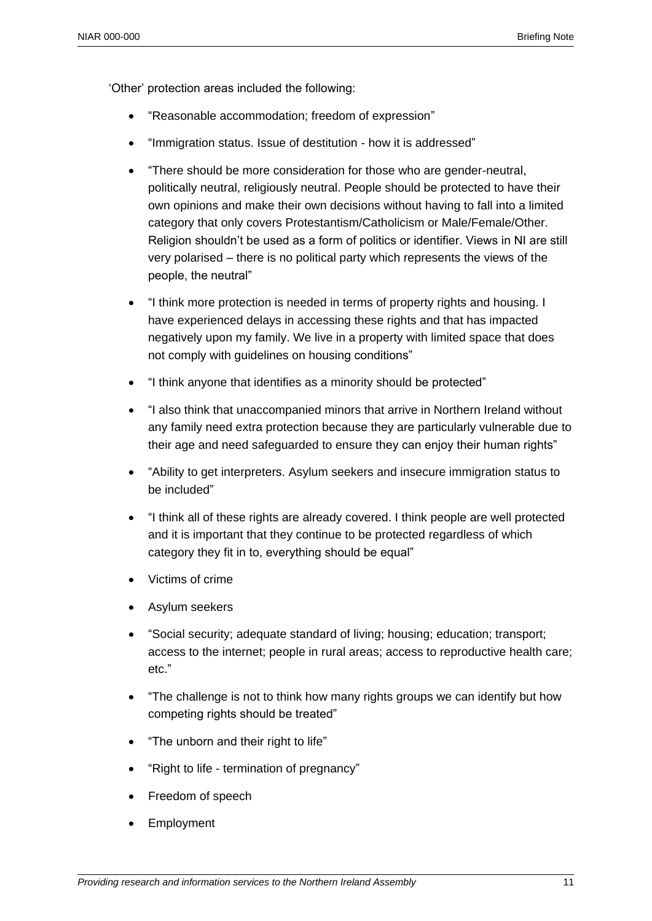'Other' protection areas included the following:

- "Reasonable accommodation; freedom of expression"
- "Immigration status. Issue of destitution how it is addressed"
- "There should be more consideration for those who are gender-neutral, politically neutral, religiously neutral. People should be protected to have their own opinions and make their own decisions without having to fall into a limited category that only covers Protestantism/Catholicism or Male/Female/Other. Religion shouldn't be used as a form of politics or identifier. Views in NI are still very polarised – there is no political party which represents the views of the people, the neutral"
- "I think more protection is needed in terms of property rights and housing. I have experienced delays in accessing these rights and that has impacted negatively upon my family. We live in a property with limited space that does not comply with guidelines on housing conditions"
- "I think anyone that identifies as a minority should be protected"
- "I also think that unaccompanied minors that arrive in Northern Ireland without any family need extra protection because they are particularly vulnerable due to their age and need safeguarded to ensure they can enjoy their human rights"
- "Ability to get interpreters. Asylum seekers and insecure immigration status to be included"
- "I think all of these rights are already covered. I think people are well protected and it is important that they continue to be protected regardless of which category they fit in to, everything should be equal"
- Victims of crime
- Asylum seekers
- "Social security; adequate standard of living; housing; education; transport; access to the internet; people in rural areas; access to reproductive health care; etc."
- "The challenge is not to think how many rights groups we can identify but how competing rights should be treated"
- "The unborn and their right to life"
- "Right to life termination of pregnancy"
- Freedom of speech
- Employment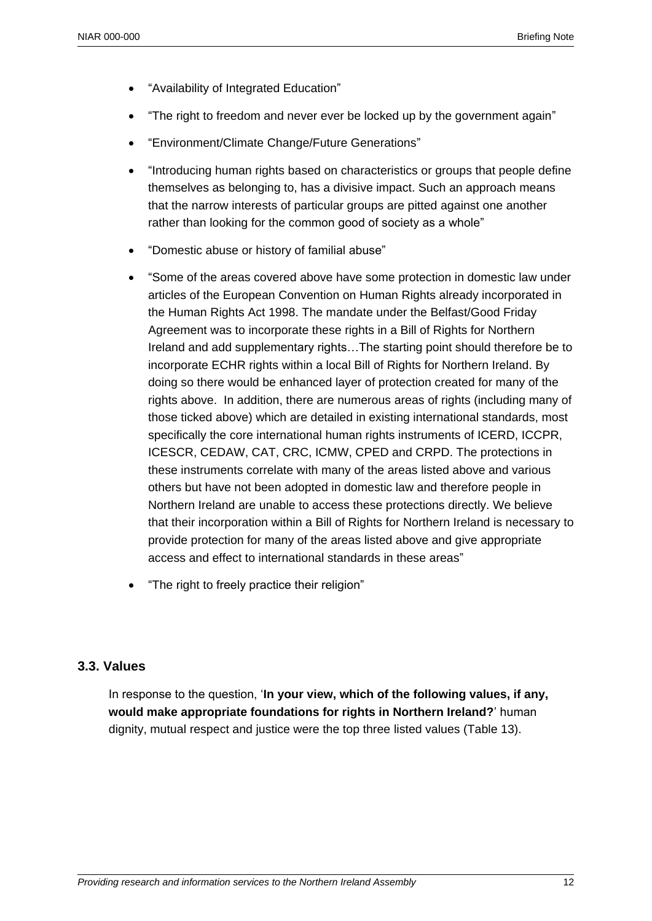- "Availability of Integrated Education"
- "The right to freedom and never ever be locked up by the government again"
- "Environment/Climate Change/Future Generations"
- "Introducing human rights based on characteristics or groups that people define themselves as belonging to, has a divisive impact. Such an approach means that the narrow interests of particular groups are pitted against one another rather than looking for the common good of society as a whole"
- "Domestic abuse or history of familial abuse"
- "Some of the areas covered above have some protection in domestic law under articles of the European Convention on Human Rights already incorporated in the Human Rights Act 1998. The mandate under the Belfast/Good Friday Agreement was to incorporate these rights in a Bill of Rights for Northern Ireland and add supplementary rights…The starting point should therefore be to incorporate ECHR rights within a local Bill of Rights for Northern Ireland. By doing so there would be enhanced layer of protection created for many of the rights above. In addition, there are numerous areas of rights (including many of those ticked above) which are detailed in existing international standards, most specifically the core international human rights instruments of ICERD, ICCPR, ICESCR, CEDAW, CAT, CRC, ICMW, CPED and CRPD. The protections in these instruments correlate with many of the areas listed above and various others but have not been adopted in domestic law and therefore people in Northern Ireland are unable to access these protections directly. We believe that their incorporation within a Bill of Rights for Northern Ireland is necessary to provide protection for many of the areas listed above and give appropriate access and effect to international standards in these areas"
- "The right to freely practice their religion"

#### **3.3. Values**

In response to the question, '**In your view, which of the following values, if any, would make appropriate foundations for rights in Northern Ireland?**' human dignity, mutual respect and justice were the top three listed values (Table 13).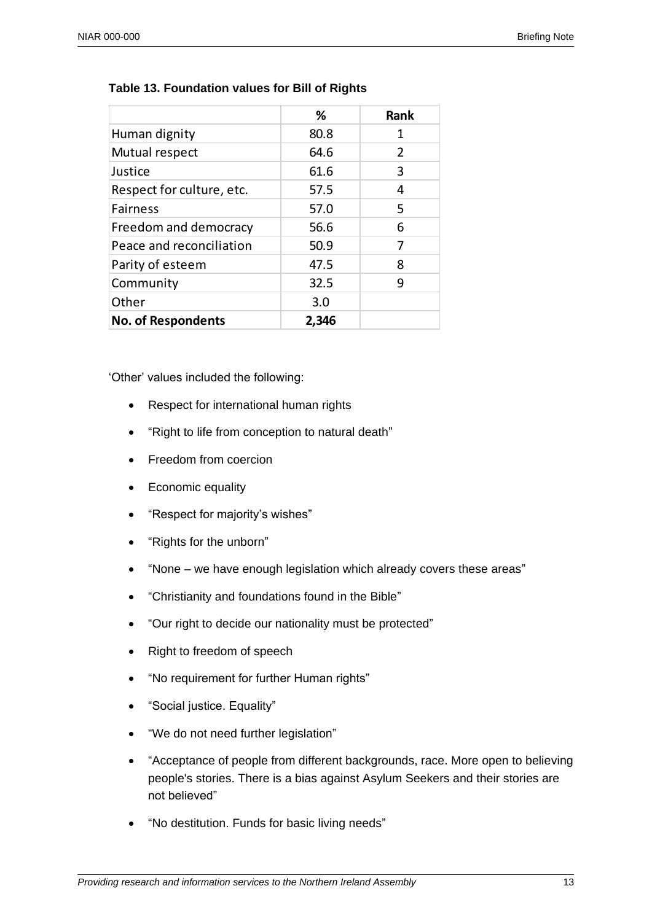|                           | %     | <b>Rank</b> |
|---------------------------|-------|-------------|
| Human dignity             | 80.8  | 1           |
| Mutual respect            | 64.6  | 2           |
| Justice                   | 61.6  | 3           |
| Respect for culture, etc. | 57.5  | 4           |
| <b>Fairness</b>           | 57.0  | 5           |
| Freedom and democracy     | 56.6  | 6           |
| Peace and reconciliation  | 50.9  | 7           |
| Parity of esteem          | 47.5  | 8           |
| Community                 | 32.5  | 9           |
| Other                     | 3.0   |             |
| <b>No. of Respondents</b> | 2,346 |             |

#### **Table 13. Foundation values for Bill of Rights**

'Other' values included the following:

- Respect for international human rights
- "Right to life from conception to natural death"
- Freedom from coercion
- Economic equality
- "Respect for majority's wishes"
- "Rights for the unborn"
- "None we have enough legislation which already covers these areas"
- "Christianity and foundations found in the Bible"
- "Our right to decide our nationality must be protected"
- Right to freedom of speech
- "No requirement for further Human rights"
- "Social justice. Equality"
- "We do not need further legislation"
- "Acceptance of people from different backgrounds, race. More open to believing people's stories. There is a bias against Asylum Seekers and their stories are not believed"
- "No destitution. Funds for basic living needs"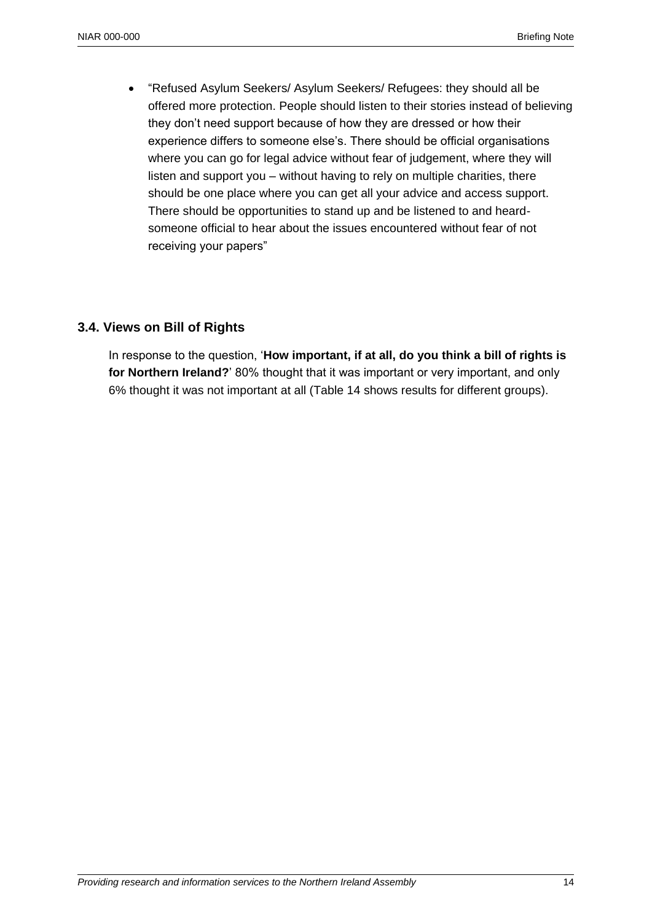"Refused Asylum Seekers/ Asylum Seekers/ Refugees: they should all be offered more protection. People should listen to their stories instead of believing they don't need support because of how they are dressed or how their experience differs to someone else's. There should be official organisations where you can go for legal advice without fear of judgement, where they will listen and support you – without having to rely on multiple charities, there should be one place where you can get all your advice and access support. There should be opportunities to stand up and be listened to and heardsomeone official to hear about the issues encountered without fear of not receiving your papers"

#### **3.4. Views on Bill of Rights**

In response to the question, '**How important, if at all, do you think a bill of rights is for Northern Ireland?**' 80% thought that it was important or very important, and only 6% thought it was not important at all (Table 14 shows results for different groups).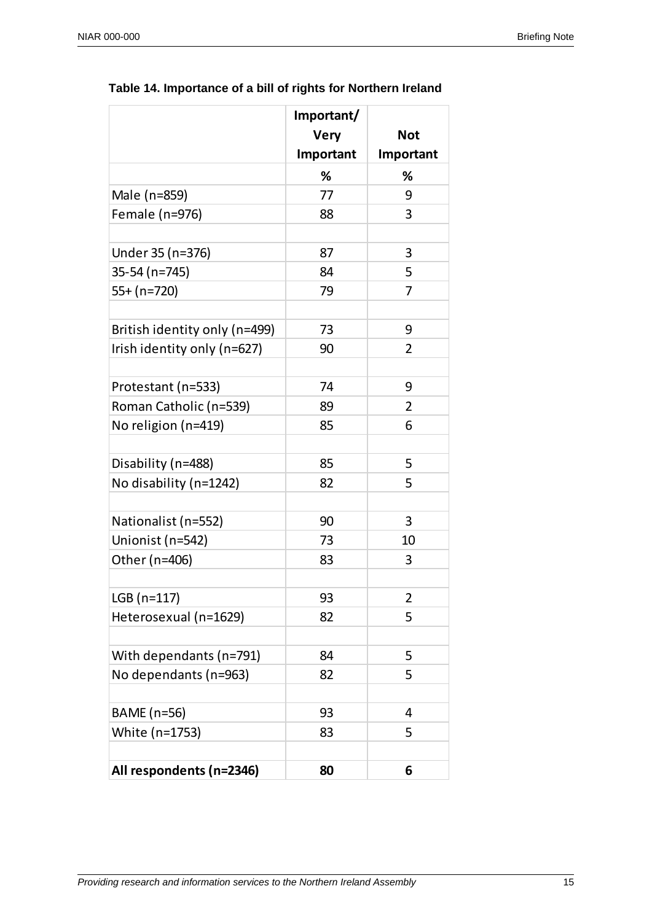|                               | Important/  |                |
|-------------------------------|-------------|----------------|
|                               | <b>Very</b> | <b>Not</b>     |
|                               | Important   | Important      |
|                               | %           | ℅              |
| Male (n=859)                  | 77          | 9              |
| Female (n=976)                | 88          | 3              |
|                               |             |                |
| Under 35 (n=376)              | 87          | 3              |
| 35-54 (n=745)                 | 84          | 5              |
| 55+ (n=720)                   | 79          | 7              |
| British identity only (n=499) | 73          | 9              |
| Irish identity only (n=627)   | 90          | 2              |
|                               |             |                |
| Protestant (n=533)            | 74          | 9              |
| Roman Catholic (n=539)        | 89          | $\overline{2}$ |
| No religion (n=419)           | 85          | 6              |
|                               |             |                |
| Disability (n=488)            | 85          | 5              |
| No disability (n=1242)        | 82          | 5              |
| Nationalist (n=552)           | 90          | 3              |
| Unionist (n=542)              | 73          | 10             |
| Other (n=406)                 | 83          | 3              |
|                               |             |                |
| LGB (n=117)                   | 93          | 2              |
| Heterosexual (n=1629)         | 82          | 5              |
| With dependants (n=791)       | 84          | 5              |
| No dependants (n=963)         | 82          | 5              |
|                               |             |                |
| BAME (n=56)                   | 93          | 4              |
| White (n=1753)                | 83          | 5              |
|                               | 80          | 6              |
| All respondents (n=2346)      |             |                |

### **Table 14. Importance of a bill of rights for Northern Ireland**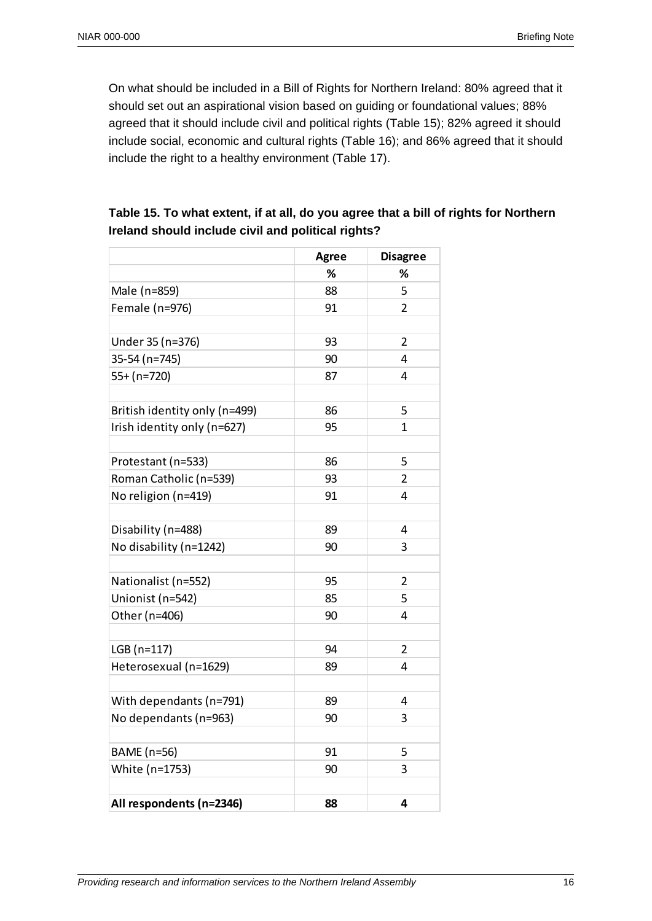On what should be included in a Bill of Rights for Northern Ireland: 80% agreed that it should set out an aspirational vision based on guiding or foundational values; 88% agreed that it should include civil and political rights (Table 15); 82% agreed it should include social, economic and cultural rights (Table 16); and 86% agreed that it should include the right to a healthy environment (Table 17).

|                               | <b>Agree</b> | <b>Disagree</b> |
|-------------------------------|--------------|-----------------|
|                               | %            | %               |
| Male (n=859)                  | 88           | 5               |
| Female (n=976)                | 91           | 2               |
| Under 35 (n=376)              | 93           | $\overline{2}$  |
| 35-54 (n=745)                 | 90           | 4               |
| 55+ (n=720)                   | 87           | 4               |
| British identity only (n=499) | 86           | 5               |
| Irish identity only (n=627)   | 95           | 1               |
| Protestant (n=533)            | 86           | 5               |
| Roman Catholic (n=539)        | 93           | $\overline{2}$  |
| No religion (n=419)           | 91           | 4               |
| Disability (n=488)            | 89           | 4               |
| No disability (n=1242)        | 90           | 3               |
| Nationalist (n=552)           | 95           | $\overline{2}$  |
| Unionist (n=542)              | 85           | 5               |
| Other (n=406)                 | 90           | 4               |
| LGB (n=117)                   | 94           | 2               |
| Heterosexual (n=1629)         | 89           | 4               |
| With dependants (n=791)       | 89           | 4               |
| No dependants (n=963)         | 90           | 3               |
| BAME (n=56)                   | 91           | 5               |
| White (n=1753)                | 90           | 3               |
| All respondents (n=2346)      | 88           | 4               |

# **Table 15. To what extent, if at all, do you agree that a bill of rights for Northern Ireland should include civil and political rights?**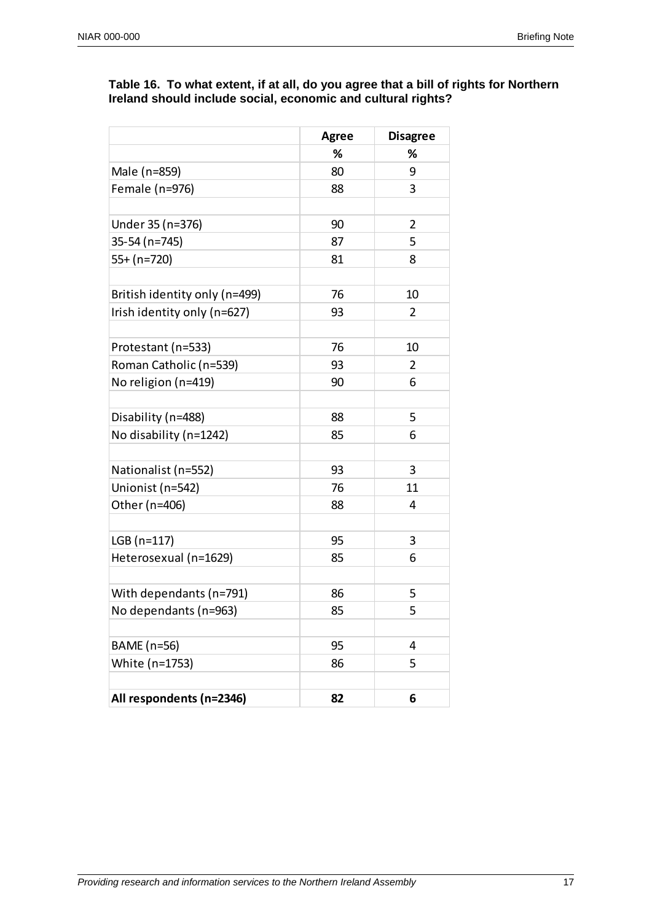#### **Table 16. To what extent, if at all, do you agree that a bill of rights for Northern Ireland should include social, economic and cultural rights?**

|                               | <b>Agree</b> | <b>Disagree</b> |
|-------------------------------|--------------|-----------------|
|                               | ℅            | ℅               |
| Male (n=859)                  | 80           | 9               |
| Female (n=976)                | 88           | 3               |
|                               |              |                 |
| Under 35 (n=376)              | 90           | $\overline{2}$  |
| 35-54 (n=745)                 | 87           | 5               |
| 55+ (n=720)                   | 81           | 8               |
|                               |              |                 |
| British identity only (n=499) | 76           | 10              |
| Irish identity only (n=627)   | 93           | 2               |
|                               |              |                 |
| Protestant (n=533)            | 76           | 10              |
| Roman Catholic (n=539)        | 93           | 2               |
| No religion (n=419)           | 90           | 6               |
|                               |              |                 |
| Disability (n=488)            | 88           | 5               |
| No disability (n=1242)        | 85           | 6               |
|                               |              |                 |
| Nationalist (n=552)           | 93           | 3               |
| Unionist (n=542)              | 76           | 11              |
| Other (n=406)                 | 88           | 4               |
|                               |              |                 |
| LGB (n=117)                   | 95           | 3               |
| Heterosexual (n=1629)         | 85           | 6               |
|                               |              |                 |
| With dependants (n=791)       | 86           | 5               |
| No dependants (n=963)         | 85           | 5               |
|                               |              |                 |
| BAME (n=56)                   | 95           | 4               |
| White (n=1753)                | 86           | 5               |
|                               |              |                 |
| All respondents (n=2346)      | 82           | 6               |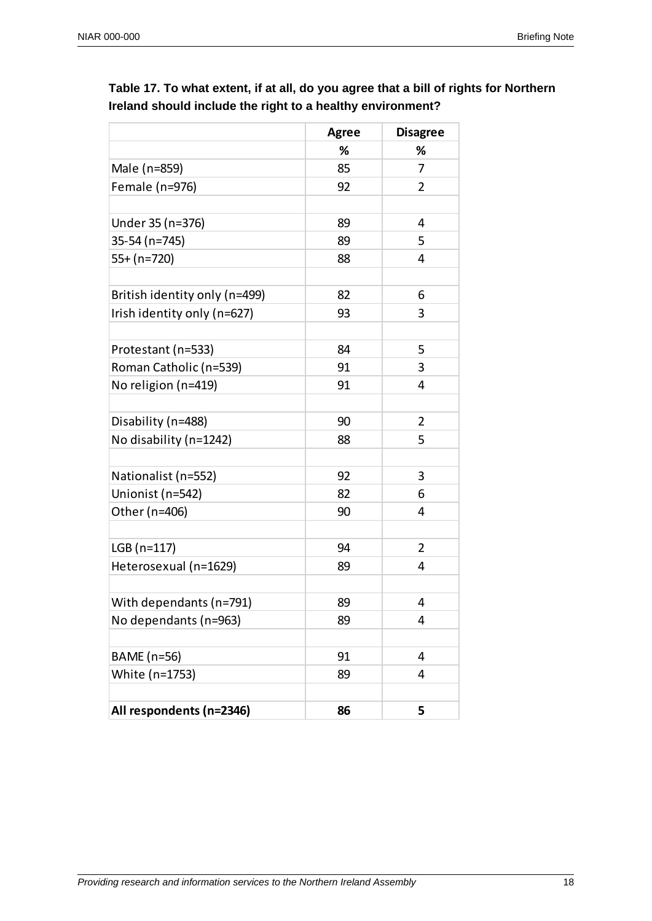|                               | <b>Agree</b> | <b>Disagree</b> |
|-------------------------------|--------------|-----------------|
|                               | %            | %               |
| Male (n=859)                  | 85           | $\overline{7}$  |
| Female (n=976)                | 92           | $\overline{2}$  |
|                               |              |                 |
| Under 35 (n=376)              | 89           | 4               |
| 35-54 (n=745)                 | 89           | 5               |
| 55+ (n=720)                   | 88           | 4               |
|                               |              |                 |
| British identity only (n=499) | 82           | 6               |
| Irish identity only (n=627)   | 93           | 3               |
|                               |              |                 |
| Protestant (n=533)            | 84           | 5               |
| Roman Catholic (n=539)        | 91           | 3               |
| No religion (n=419)           | 91           | 4               |
|                               |              |                 |
| Disability (n=488)            | 90           | 2               |
| No disability (n=1242)        | 88           | 5               |
| Nationalist (n=552)           | 92           | 3               |
| Unionist (n=542)              | 82           | 6               |
| Other (n=406)                 | 90           | 4               |
|                               |              |                 |
| $LGB(n=117)$                  | 94           | 2               |
| Heterosexual (n=1629)         | 89           | 4               |
|                               |              |                 |
| With dependants (n=791)       | 89           | 4               |
| No dependants (n=963)         | 89           | 4               |
|                               |              |                 |
| BAME (n=56)                   | 91           | 4               |
| White (n=1753)                | 89           | 4               |
| All respondents (n=2346)      | 86           | 5               |

**Table 17. To what extent, if at all, do you agree that a bill of rights for Northern Ireland should include the right to a healthy environment?**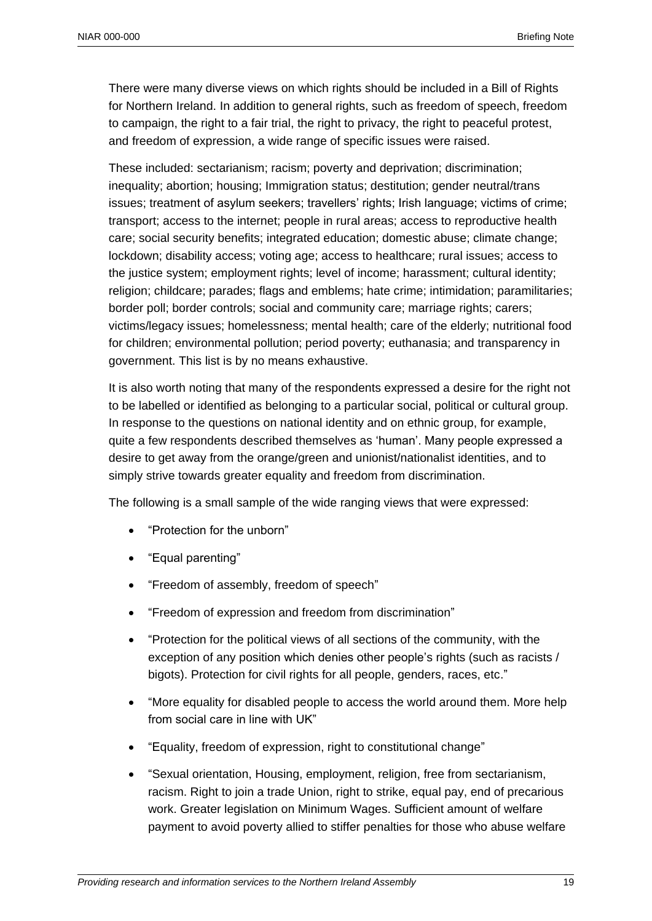There were many diverse views on which rights should be included in a Bill of Rights for Northern Ireland. In addition to general rights, such as freedom of speech, freedom to campaign, the right to a fair trial, the right to privacy, the right to peaceful protest, and freedom of expression, a wide range of specific issues were raised.

These included: sectarianism; racism; poverty and deprivation; discrimination; inequality; abortion; housing; Immigration status; destitution; gender neutral/trans issues; treatment of asylum seekers; travellers' rights; Irish language; victims of crime; transport; access to the internet; people in rural areas; access to reproductive health care; social security benefits; integrated education; domestic abuse; climate change; lockdown; disability access; voting age; access to healthcare; rural issues; access to the justice system; employment rights; level of income; harassment; cultural identity; religion; childcare; parades; flags and emblems; hate crime; intimidation; paramilitaries; border poll; border controls; social and community care; marriage rights; carers; victims/legacy issues; homelessness; mental health; care of the elderly; nutritional food for children; environmental pollution; period poverty; euthanasia; and transparency in government. This list is by no means exhaustive.

It is also worth noting that many of the respondents expressed a desire for the right not to be labelled or identified as belonging to a particular social, political or cultural group. In response to the questions on national identity and on ethnic group, for example, quite a few respondents described themselves as 'human'. Many people expressed a desire to get away from the orange/green and unionist/nationalist identities, and to simply strive towards greater equality and freedom from discrimination.

The following is a small sample of the wide ranging views that were expressed:

- "Protection for the unborn"
- "Equal parenting"
- "Freedom of assembly, freedom of speech"
- "Freedom of expression and freedom from discrimination"
- "Protection for the political views of all sections of the community, with the exception of any position which denies other people's rights (such as racists / bigots). Protection for civil rights for all people, genders, races, etc."
- "More equality for disabled people to access the world around them. More help from social care in line with UK"
- "Equality, freedom of expression, right to constitutional change"
- "Sexual orientation, Housing, employment, religion, free from sectarianism, racism. Right to join a trade Union, right to strike, equal pay, end of precarious work. Greater legislation on Minimum Wages. Sufficient amount of welfare payment to avoid poverty allied to stiffer penalties for those who abuse welfare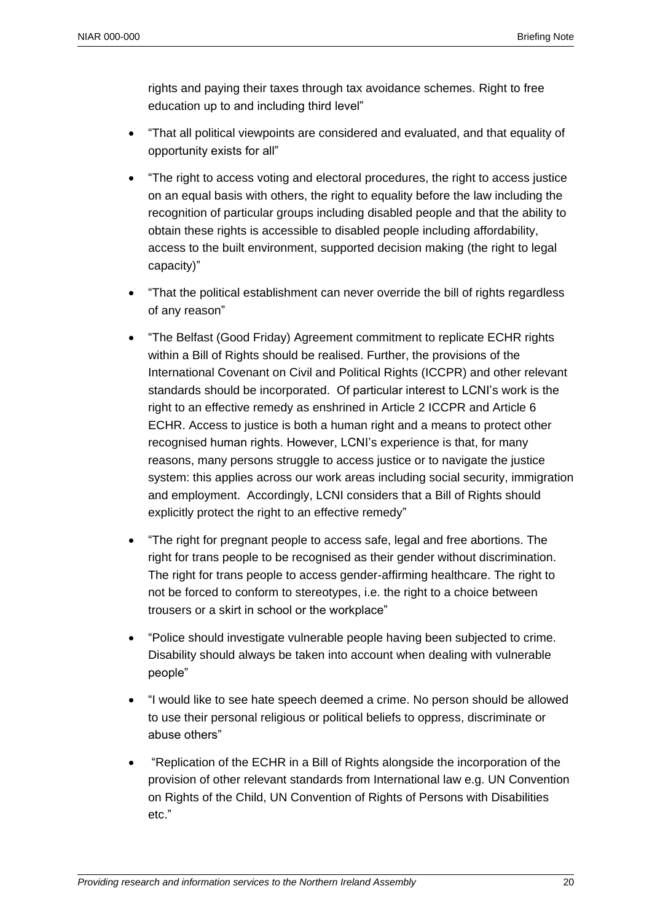rights and paying their taxes through tax avoidance schemes. Right to free education up to and including third level"

- "That all political viewpoints are considered and evaluated, and that equality of opportunity exists for all"
- "The right to access voting and electoral procedures, the right to access justice on an equal basis with others, the right to equality before the law including the recognition of particular groups including disabled people and that the ability to obtain these rights is accessible to disabled people including affordability, access to the built environment, supported decision making (the right to legal capacity)"
- "That the political establishment can never override the bill of rights regardless of any reason"
- "The Belfast (Good Friday) Agreement commitment to replicate ECHR rights within a Bill of Rights should be realised. Further, the provisions of the International Covenant on Civil and Political Rights (ICCPR) and other relevant standards should be incorporated. Of particular interest to LCNI's work is the right to an effective remedy as enshrined in Article 2 ICCPR and Article 6 ECHR. Access to justice is both a human right and a means to protect other recognised human rights. However, LCNI's experience is that, for many reasons, many persons struggle to access justice or to navigate the justice system: this applies across our work areas including social security, immigration and employment. Accordingly, LCNI considers that a Bill of Rights should explicitly protect the right to an effective remedy"
- "The right for pregnant people to access safe, legal and free abortions. The right for trans people to be recognised as their gender without discrimination. The right for trans people to access gender-affirming healthcare. The right to not be forced to conform to stereotypes, i.e. the right to a choice between trousers or a skirt in school or the workplace"
- "Police should investigate vulnerable people having been subjected to crime. Disability should always be taken into account when dealing with vulnerable people"
- "I would like to see hate speech deemed a crime. No person should be allowed to use their personal religious or political beliefs to oppress, discriminate or abuse others"
- "Replication of the ECHR in a Bill of Rights alongside the incorporation of the provision of other relevant standards from International law e.g. UN Convention on Rights of the Child, UN Convention of Rights of Persons with Disabilities etc."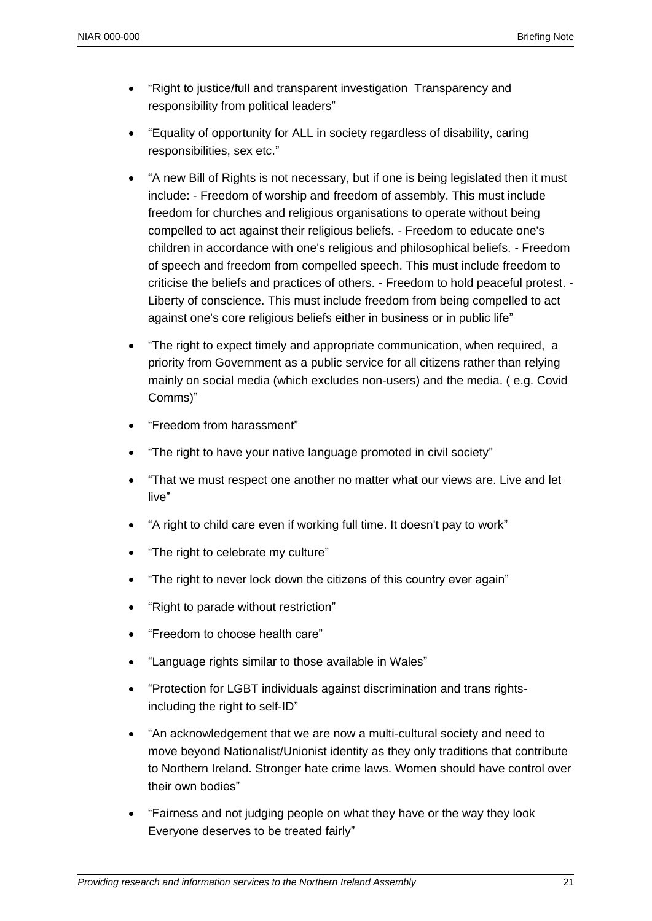- "Right to justice/full and transparent investigation Transparency and responsibility from political leaders"
- "Equality of opportunity for ALL in society regardless of disability, caring responsibilities, sex etc."
- "A new Bill of Rights is not necessary, but if one is being legislated then it must include: - Freedom of worship and freedom of assembly. This must include freedom for churches and religious organisations to operate without being compelled to act against their religious beliefs. - Freedom to educate one's children in accordance with one's religious and philosophical beliefs. - Freedom of speech and freedom from compelled speech. This must include freedom to criticise the beliefs and practices of others. - Freedom to hold peaceful protest. - Liberty of conscience. This must include freedom from being compelled to act against one's core religious beliefs either in business or in public life"
- "The right to expect timely and appropriate communication, when required, a priority from Government as a public service for all citizens rather than relying mainly on social media (which excludes non-users) and the media. ( e.g. Covid Comms)"
- "Freedom from harassment"
- "The right to have your native language promoted in civil society"
- "That we must respect one another no matter what our views are. Live and let live"
- "A right to child care even if working full time. It doesn't pay to work"
- "The right to celebrate my culture"
- "The right to never lock down the citizens of this country ever again"
- "Right to parade without restriction"
- "Freedom to choose health care"
- "Language rights similar to those available in Wales"
- "Protection for LGBT individuals against discrimination and trans rightsincluding the right to self-ID"
- "An acknowledgement that we are now a multi-cultural society and need to move beyond Nationalist/Unionist identity as they only traditions that contribute to Northern Ireland. Stronger hate crime laws. Women should have control over their own bodies"
- "Fairness and not judging people on what they have or the way they look Everyone deserves to be treated fairly"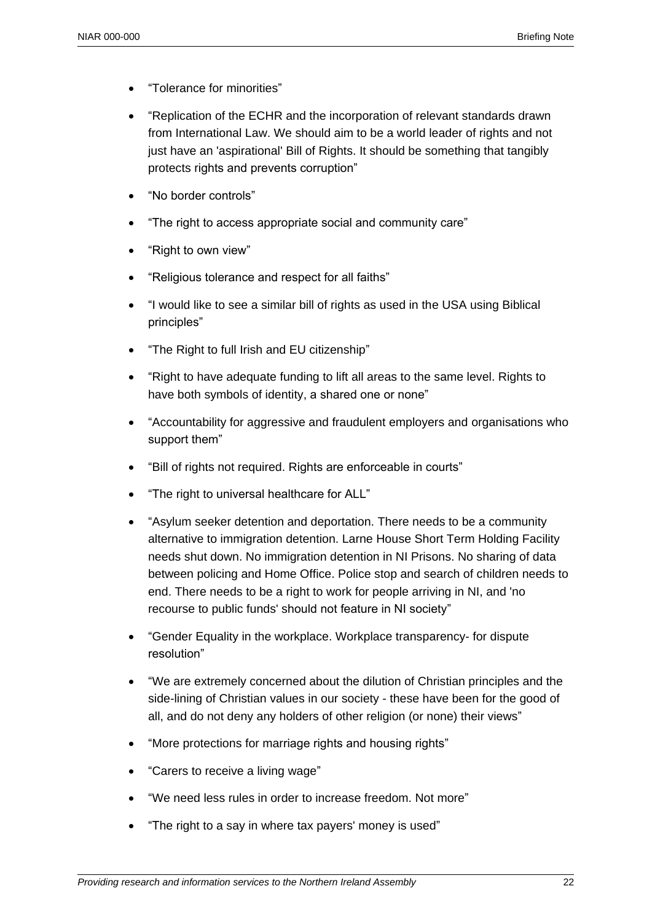- "Tolerance for minorities"
- "Replication of the ECHR and the incorporation of relevant standards drawn from International Law. We should aim to be a world leader of rights and not just have an 'aspirational' Bill of Rights. It should be something that tangibly protects rights and prevents corruption"
- "No border controls"
- "The right to access appropriate social and community care"
- "Right to own view"
- "Religious tolerance and respect for all faiths"
- "I would like to see a similar bill of rights as used in the USA using Biblical principles"
- "The Right to full Irish and EU citizenship"
- "Right to have adequate funding to lift all areas to the same level. Rights to have both symbols of identity, a shared one or none"
- "Accountability for aggressive and fraudulent employers and organisations who support them"
- "Bill of rights not required. Rights are enforceable in courts"
- "The right to universal healthcare for ALL"
- "Asylum seeker detention and deportation. There needs to be a community alternative to immigration detention. Larne House Short Term Holding Facility needs shut down. No immigration detention in NI Prisons. No sharing of data between policing and Home Office. Police stop and search of children needs to end. There needs to be a right to work for people arriving in NI, and 'no recourse to public funds' should not feature in NI society"
- "Gender Equality in the workplace. Workplace transparency- for dispute resolution"
- "We are extremely concerned about the dilution of Christian principles and the side-lining of Christian values in our society - these have been for the good of all, and do not deny any holders of other religion (or none) their views"
- "More protections for marriage rights and housing rights"
- "Carers to receive a living wage"
- "We need less rules in order to increase freedom. Not more"
- "The right to a say in where tax payers' money is used"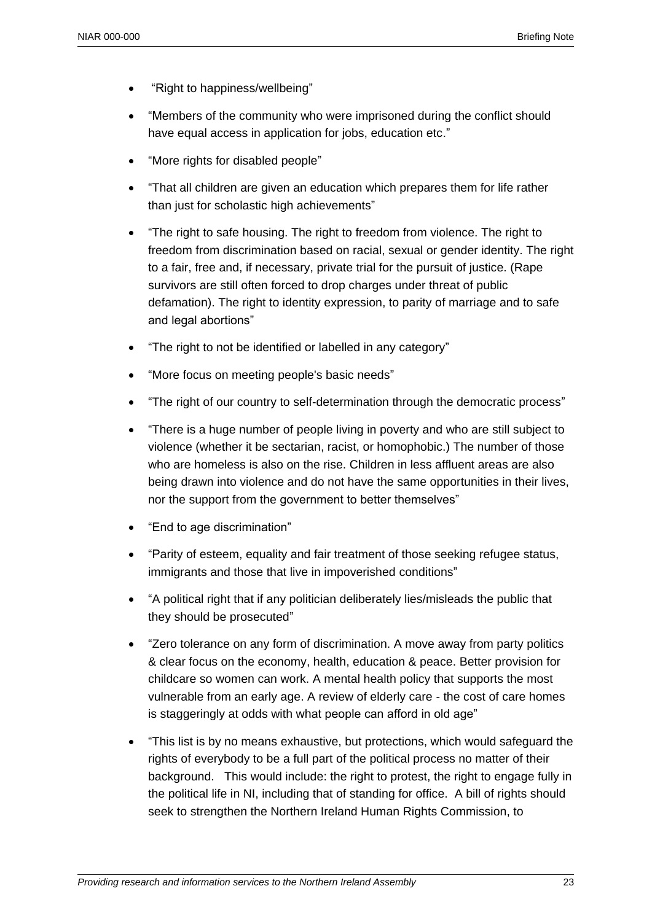- "Right to happiness/wellbeing"
- "Members of the community who were imprisoned during the conflict should have equal access in application for jobs, education etc."
- "More rights for disabled people"
- "That all children are given an education which prepares them for life rather than just for scholastic high achievements"
- "The right to safe housing. The right to freedom from violence. The right to freedom from discrimination based on racial, sexual or gender identity. The right to a fair, free and, if necessary, private trial for the pursuit of justice. (Rape survivors are still often forced to drop charges under threat of public defamation). The right to identity expression, to parity of marriage and to safe and legal abortions"
- "The right to not be identified or labelled in any category"
- "More focus on meeting people's basic needs"
- "The right of our country to self-determination through the democratic process"
- "There is a huge number of people living in poverty and who are still subject to violence (whether it be sectarian, racist, or homophobic.) The number of those who are homeless is also on the rise. Children in less affluent areas are also being drawn into violence and do not have the same opportunities in their lives, nor the support from the government to better themselves"
- "End to age discrimination"
- "Parity of esteem, equality and fair treatment of those seeking refugee status, immigrants and those that live in impoverished conditions"
- "A political right that if any politician deliberately lies/misleads the public that they should be prosecuted"
- "Zero tolerance on any form of discrimination. A move away from party politics & clear focus on the economy, health, education & peace. Better provision for childcare so women can work. A mental health policy that supports the most vulnerable from an early age. A review of elderly care - the cost of care homes is staggeringly at odds with what people can afford in old age"
- "This list is by no means exhaustive, but protections, which would safeguard the rights of everybody to be a full part of the political process no matter of their background. This would include: the right to protest, the right to engage fully in the political life in NI, including that of standing for office. A bill of rights should seek to strengthen the Northern Ireland Human Rights Commission, to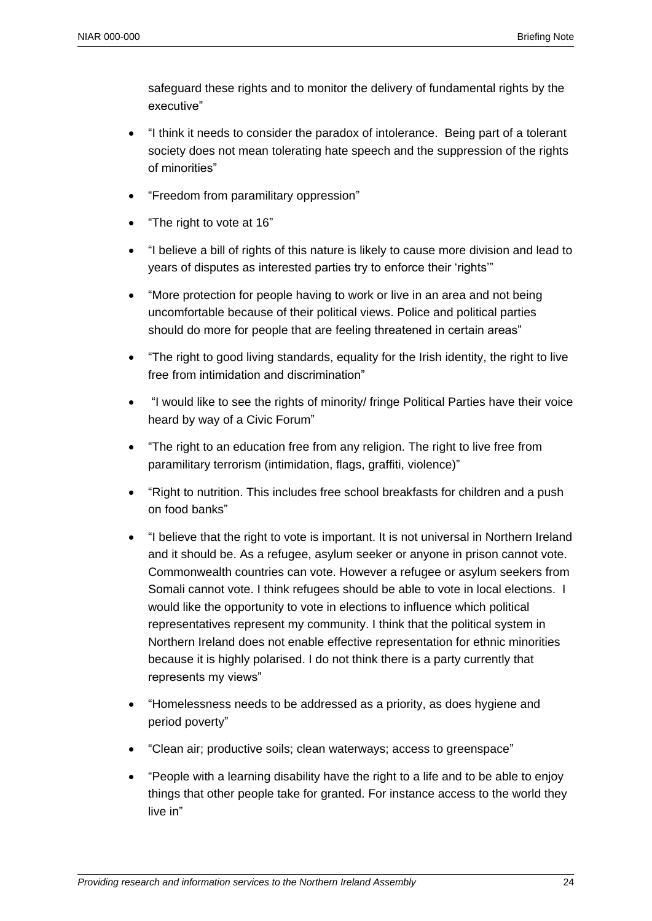safeguard these rights and to monitor the delivery of fundamental rights by the executive"

- "I think it needs to consider the paradox of intolerance. Being part of a tolerant society does not mean tolerating hate speech and the suppression of the rights of minorities"
- "Freedom from paramilitary oppression"
- "The right to vote at 16"
- "I believe a bill of rights of this nature is likely to cause more division and lead to years of disputes as interested parties try to enforce their 'rights'"
- "More protection for people having to work or live in an area and not being uncomfortable because of their political views. Police and political parties should do more for people that are feeling threatened in certain areas"
- "The right to good living standards, equality for the Irish identity, the right to live free from intimidation and discrimination"
- "I would like to see the rights of minority/ fringe Political Parties have their voice heard by way of a Civic Forum"
- "The right to an education free from any religion. The right to live free from paramilitary terrorism (intimidation, flags, graffiti, violence)"
- "Right to nutrition. This includes free school breakfasts for children and a push on food banks"
- "I believe that the right to vote is important. It is not universal in Northern Ireland and it should be. As a refugee, asylum seeker or anyone in prison cannot vote. Commonwealth countries can vote. However a refugee or asylum seekers from Somali cannot vote. I think refugees should be able to vote in local elections. I would like the opportunity to vote in elections to influence which political representatives represent my community. I think that the political system in Northern Ireland does not enable effective representation for ethnic minorities because it is highly polarised. I do not think there is a party currently that represents my views"
- "Homelessness needs to be addressed as a priority, as does hygiene and period poverty"
- "Clean air; productive soils; clean waterways; access to greenspace"
- "People with a learning disability have the right to a life and to be able to enjoy things that other people take for granted. For instance access to the world they live in"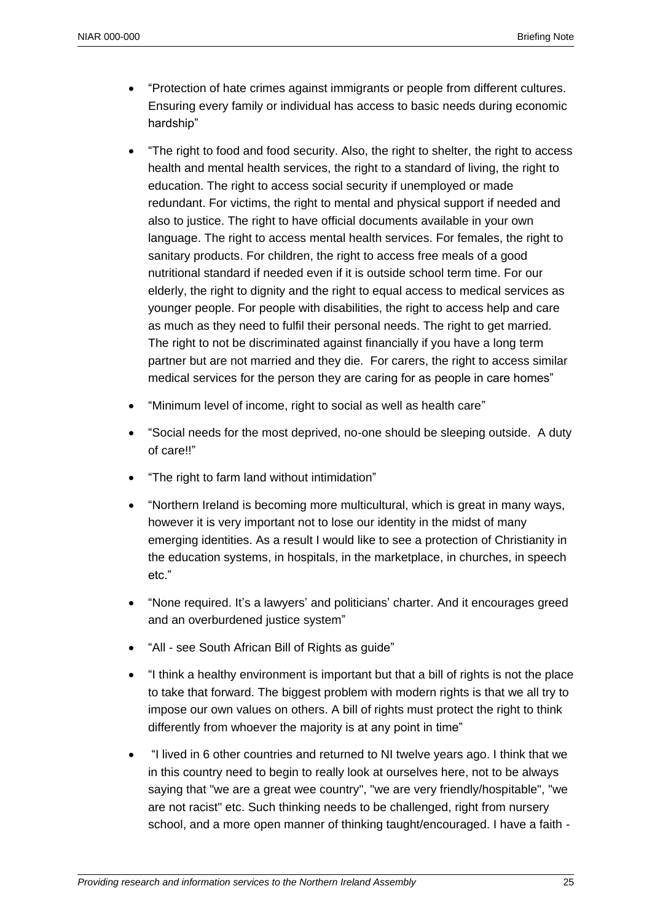- "Protection of hate crimes against immigrants or people from different cultures. Ensuring every family or individual has access to basic needs during economic hardship"
- "The right to food and food security. Also, the right to shelter, the right to access health and mental health services, the right to a standard of living, the right to education. The right to access social security if unemployed or made redundant. For victims, the right to mental and physical support if needed and also to justice. The right to have official documents available in your own language. The right to access mental health services. For females, the right to sanitary products. For children, the right to access free meals of a good nutritional standard if needed even if it is outside school term time. For our elderly, the right to dignity and the right to equal access to medical services as younger people. For people with disabilities, the right to access help and care as much as they need to fulfil their personal needs. The right to get married. The right to not be discriminated against financially if you have a long term partner but are not married and they die. For carers, the right to access similar medical services for the person they are caring for as people in care homes"
- "Minimum level of income, right to social as well as health care"
- "Social needs for the most deprived, no-one should be sleeping outside. A duty of care!!"
- "The right to farm land without intimidation"
- "Northern Ireland is becoming more multicultural, which is great in many ways, however it is very important not to lose our identity in the midst of many emerging identities. As a result I would like to see a protection of Christianity in the education systems, in hospitals, in the marketplace, in churches, in speech etc."
- "None required. It's a lawyers' and politicians' charter. And it encourages greed and an overburdened justice system"
- "All see South African Bill of Rights as guide"
- "I think a healthy environment is important but that a bill of rights is not the place to take that forward. The biggest problem with modern rights is that we all try to impose our own values on others. A bill of rights must protect the right to think differently from whoever the majority is at any point in time"
- "I lived in 6 other countries and returned to NI twelve years ago. I think that we in this country need to begin to really look at ourselves here, not to be always saying that "we are a great wee country", "we are very friendly/hospitable", "we are not racist" etc. Such thinking needs to be challenged, right from nursery school, and a more open manner of thinking taught/encouraged. I have a faith -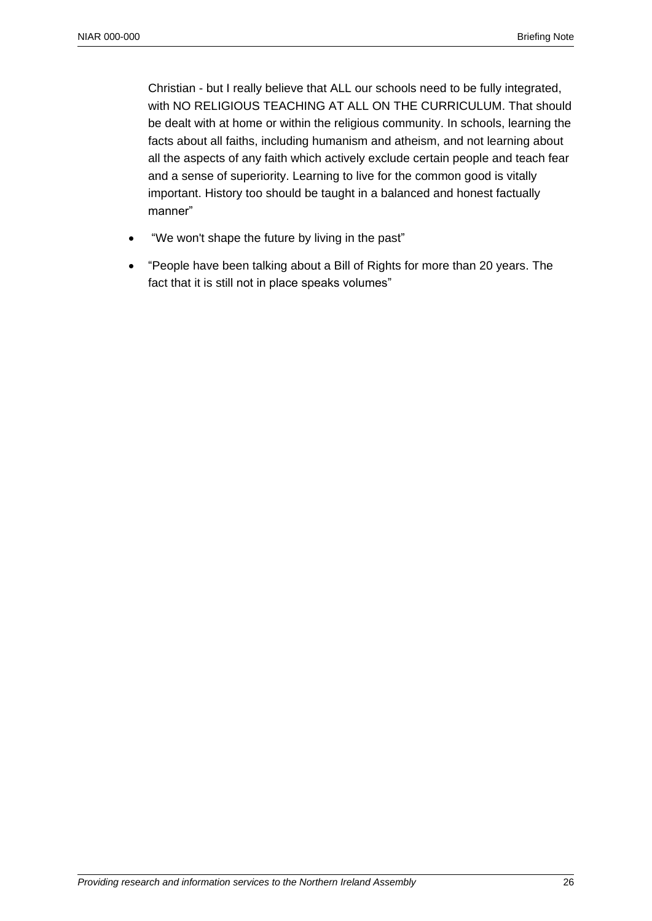Christian - but I really believe that ALL our schools need to be fully integrated, with NO RELIGIOUS TEACHING AT ALL ON THE CURRICULUM. That should be dealt with at home or within the religious community. In schools, learning the facts about all faiths, including humanism and atheism, and not learning about all the aspects of any faith which actively exclude certain people and teach fear and a sense of superiority. Learning to live for the common good is vitally important. History too should be taught in a balanced and honest factually manner"

- "We won't shape the future by living in the past"
- "People have been talking about a Bill of Rights for more than 20 years. The fact that it is still not in place speaks volumes"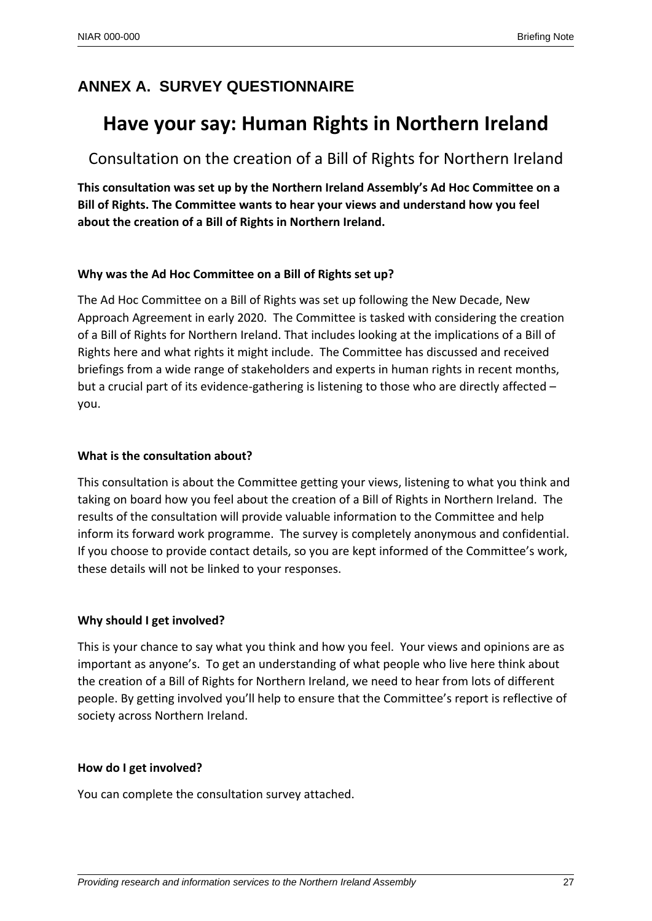# **ANNEX A. SURVEY QUESTIONNAIRE**

# **Have your say: Human Rights in Northern Ireland**

Consultation on the creation of a Bill of Rights for Northern Ireland

**This consultation was set up by the Northern Ireland Assembly's Ad Hoc Committee on a Bill of Rights. The Committee wants to hear your views and understand how you feel about the creation of a Bill of Rights in Northern Ireland.**

#### **Why was the Ad Hoc Committee on a Bill of Rights set up?**

The Ad Hoc Committee on a Bill of Rights was set up following the New Decade, New Approach Agreement in early 2020. The Committee is tasked with considering the creation of a Bill of Rights for Northern Ireland. That includes looking at the implications of a Bill of Rights here and what rights it might include. The Committee has discussed and received briefings from a wide range of stakeholders and experts in human rights in recent months, but a crucial part of its evidence-gathering is listening to those who are directly affected – you.

#### **What is the consultation about?**

This consultation is about the Committee getting your views, listening to what you think and taking on board how you feel about the creation of a Bill of Rights in Northern Ireland. The results of the consultation will provide valuable information to the Committee and help inform its forward work programme. The survey is completely anonymous and confidential. If you choose to provide contact details, so you are kept informed of the Committee's work, these details will not be linked to your responses.

## **Why should I get involved?**

This is your chance to say what you think and how you feel. Your views and opinions are as important as anyone's. To get an understanding of what people who live here think about the creation of a Bill of Rights for Northern Ireland, we need to hear from lots of different people. By getting involved you'll help to ensure that the Committee's report is reflective of society across Northern Ireland.

#### **How do I get involved?**

You can complete the consultation survey attached.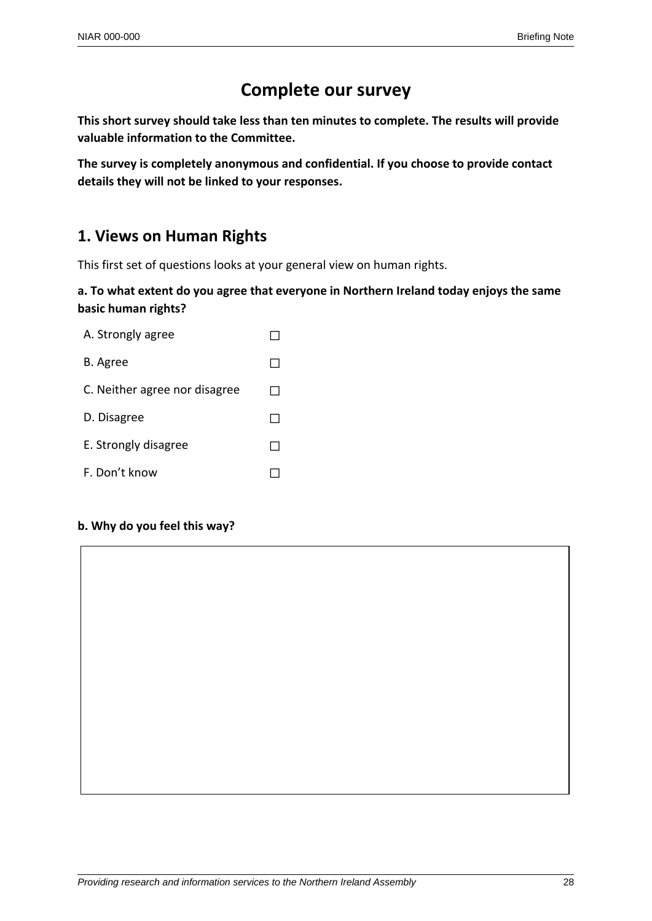# **Complete our survey**

**This short survey should take less than ten minutes to complete. The results will provide valuable information to the Committee.**

**The survey is completely anonymous and confidential. If you choose to provide contact details they will not be linked to your responses.**

# **1. Views on Human Rights**

This first set of questions looks at your general view on human rights.

#### **a. To what extent do you agree that everyone in Northern Ireland today enjoys the same basic human rights?**

| A. Strongly agree             |  |
|-------------------------------|--|
| B. Agree                      |  |
| C. Neither agree nor disagree |  |
| D. Disagree                   |  |
| E. Strongly disagree          |  |
| F. Don't know                 |  |

#### **b. Why do you feel this way?**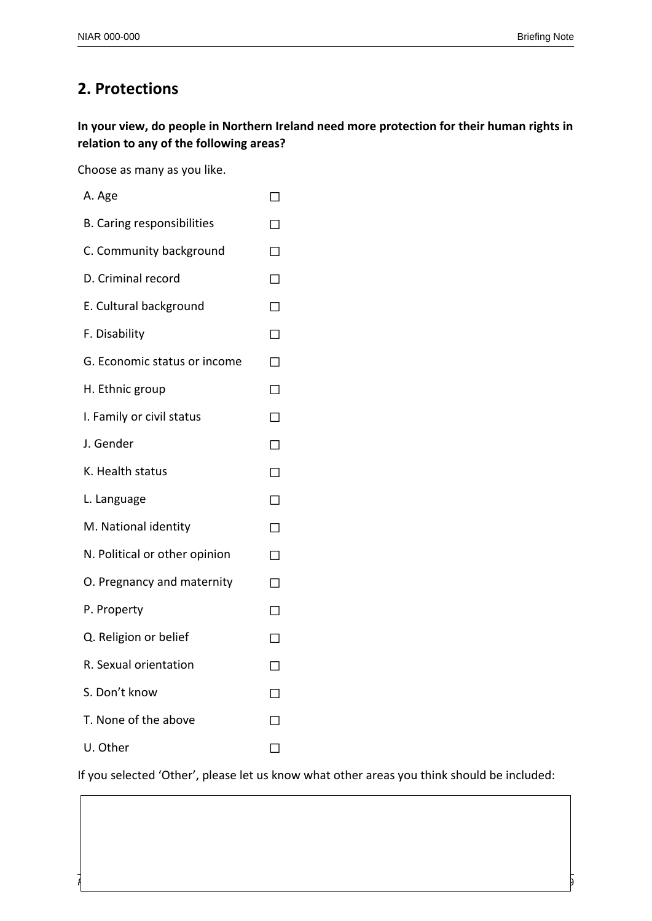# **2. Protections**

**In your view, do people in Northern Ireland need more protection for their human rights in relation to any of the following areas?**

Choose as many as you like.

| A. Age                            |        |
|-----------------------------------|--------|
| <b>B. Caring responsibilities</b> | П      |
| C. Community background           | П      |
| D. Criminal record                | $\Box$ |
| E. Cultural background            | $\Box$ |
| F. Disability                     | П      |
| G. Economic status or income      | П      |
| H. Ethnic group                   | П      |
| I. Family or civil status         | $\Box$ |
| J. Gender                         | $\Box$ |
| K. Health status                  | П      |
| L. Language                       | П      |
| M. National identity              | П      |
| N. Political or other opinion     | □      |
| O. Pregnancy and maternity        | П      |
| P. Property                       | П      |
| Q. Religion or belief             | П      |
| R. Sexual orientation             | П      |
| S. Don't know                     | П      |
| T. None of the above              | П      |
| U. Other                          |        |
|                                   |        |

If you selected 'Other', please let us know what other areas you think should be included:

*Providing research and information services to the Northern Ireland Assembly* 29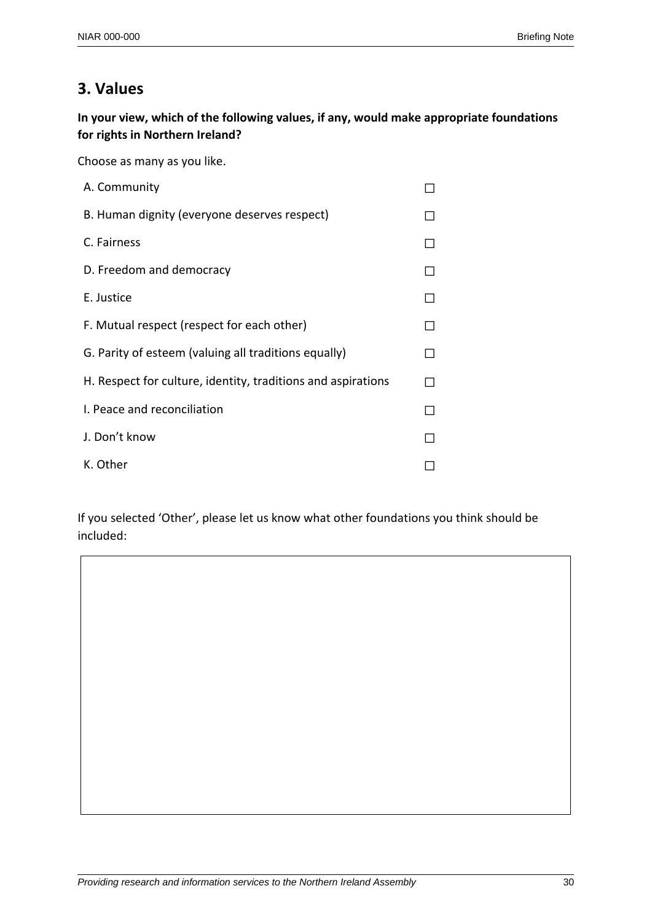# **3. Values**

**In your view, which of the following values, if any, would make appropriate foundations for rights in Northern Ireland?**

Choose as many as you like.

| A. Community                                                 |  |
|--------------------------------------------------------------|--|
| B. Human dignity (everyone deserves respect)                 |  |
| C. Fairness                                                  |  |
| D. Freedom and democracy                                     |  |
| E. Justice                                                   |  |
| F. Mutual respect (respect for each other)                   |  |
| G. Parity of esteem (valuing all traditions equally)         |  |
| H. Respect for culture, identity, traditions and aspirations |  |
| I. Peace and reconciliation                                  |  |
| J. Don't know                                                |  |
| K. Other                                                     |  |

If you selected 'Other', please let us know what other foundations you think should be included: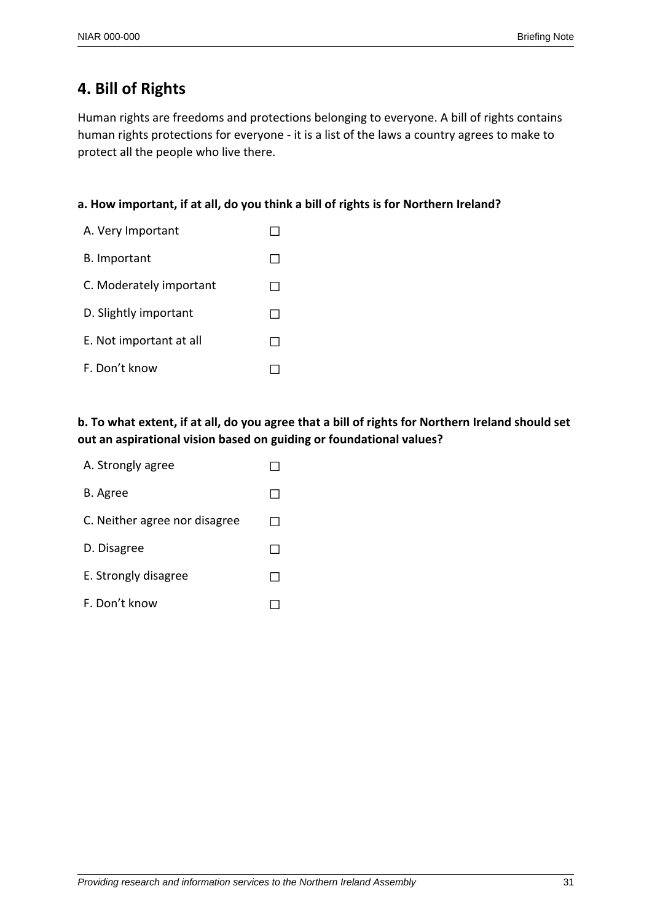# **4. Bill of Rights**

Human rights are freedoms and protections belonging to everyone. A bill of rights contains human rights protections for everyone - it is a list of the laws a country agrees to make to protect all the people who live there.

#### **a. How important, if at all, do you think a bill of rights is for Northern Ireland?**

| A. Very Important       |  |
|-------------------------|--|
| <b>B.</b> Important     |  |
| C. Moderately important |  |
| D. Slightly important   |  |
| E. Not important at all |  |
| F. Don't know           |  |

## **b. To what extent, if at all, do you agree that a bill of rights for Northern Ireland should set out an aspirational vision based on guiding or foundational values?**

| A. Strongly agree             |  |
|-------------------------------|--|
| B. Agree                      |  |
| C. Neither agree nor disagree |  |
| D. Disagree                   |  |
| E. Strongly disagree          |  |
| F. Don't know                 |  |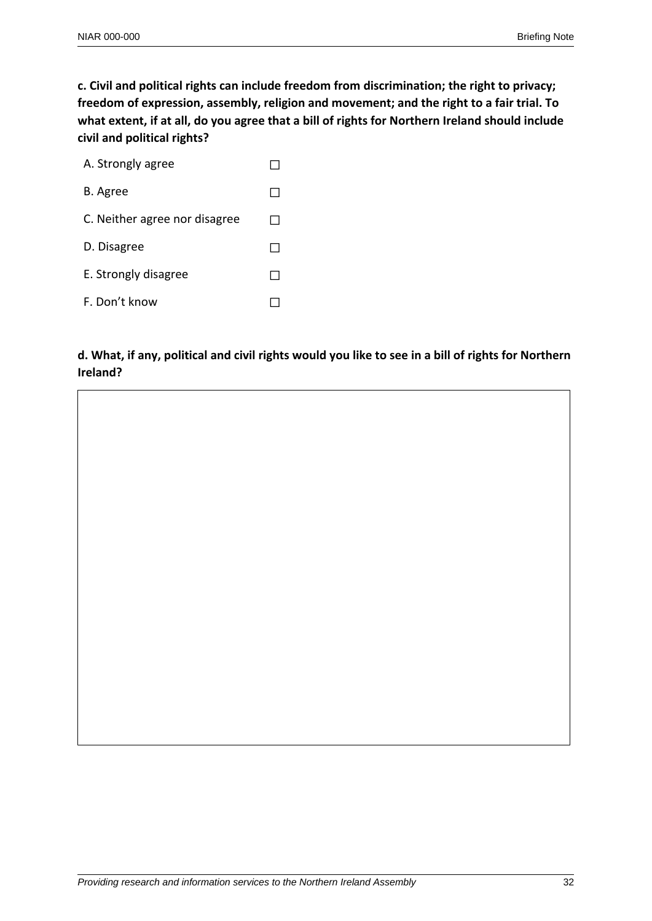**c. Civil and political rights can include freedom from discrimination; the right to privacy; freedom of expression, assembly, religion and movement; and the right to a fair trial. To what extent, if at all, do you agree that a bill of rights for Northern Ireland should include civil and political rights?**

| A. Strongly agree             |  |
|-------------------------------|--|
| B. Agree                      |  |
| C. Neither agree nor disagree |  |
| D. Disagree                   |  |
| E. Strongly disagree          |  |
| F. Don't know                 |  |

## **d. What, if any, political and civil rights would you like to see in a bill of rights for Northern Ireland?**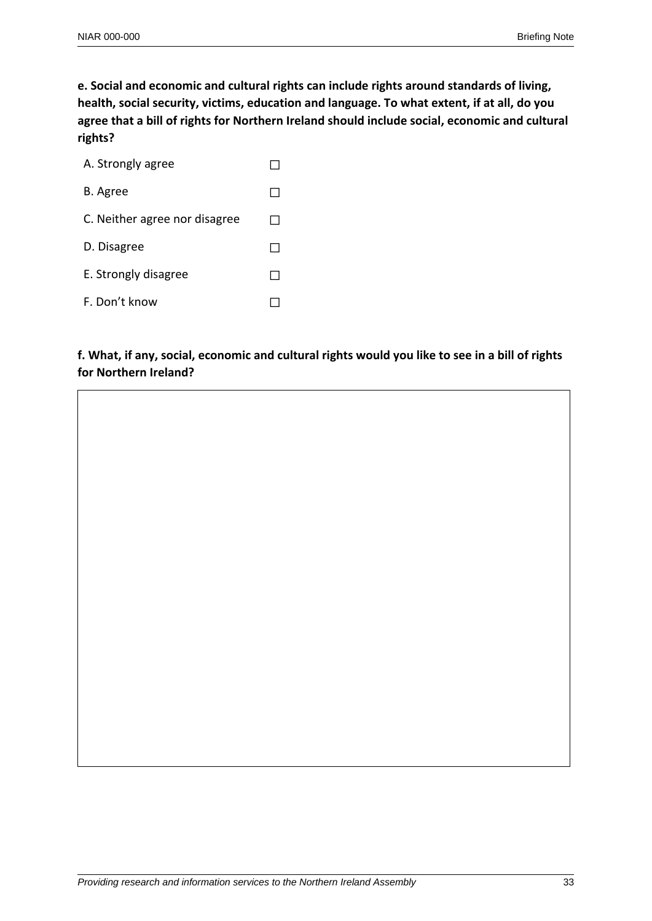**e. Social and economic and cultural rights can include rights around standards of living, health, social security, victims, education and language. To what extent, if at all, do you agree that a bill of rights for Northern Ireland should include social, economic and cultural rights?**

| A. Strongly agree             |  |
|-------------------------------|--|
| B. Agree                      |  |
| C. Neither agree nor disagree |  |
| D. Disagree                   |  |
| E. Strongly disagree          |  |
| F. Don't know                 |  |

## **f. What, if any, social, economic and cultural rights would you like to see in a bill of rights for Northern Ireland?**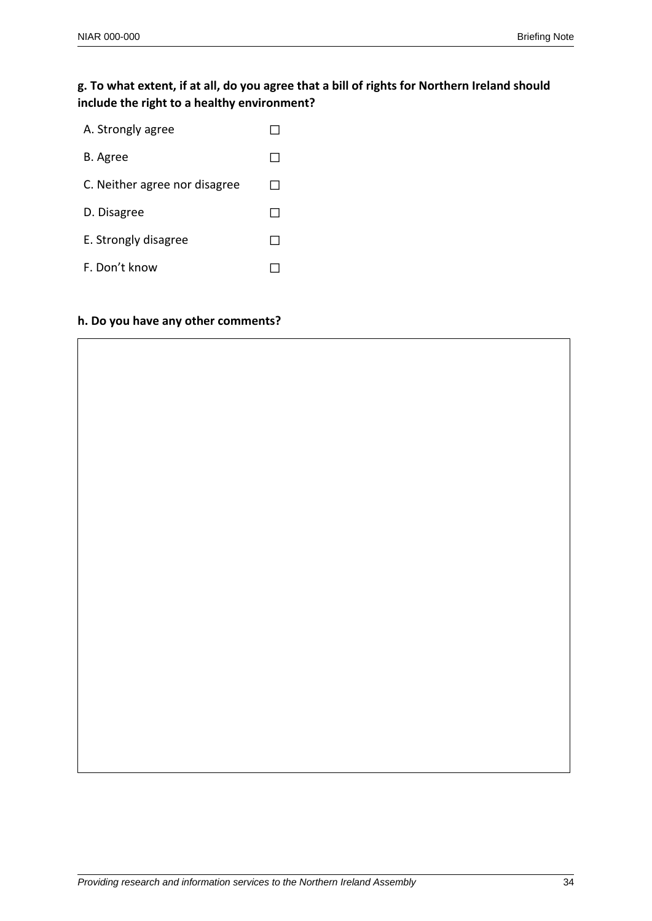### **g. To what extent, if at all, do you agree that a bill of rights for Northern Ireland should include the right to a healthy environment?**

| A. Strongly agree             |  |
|-------------------------------|--|
| B. Agree                      |  |
| C. Neither agree nor disagree |  |
| D. Disagree                   |  |
| E. Strongly disagree          |  |
| F. Don't know                 |  |

#### **h. Do you have any other comments?**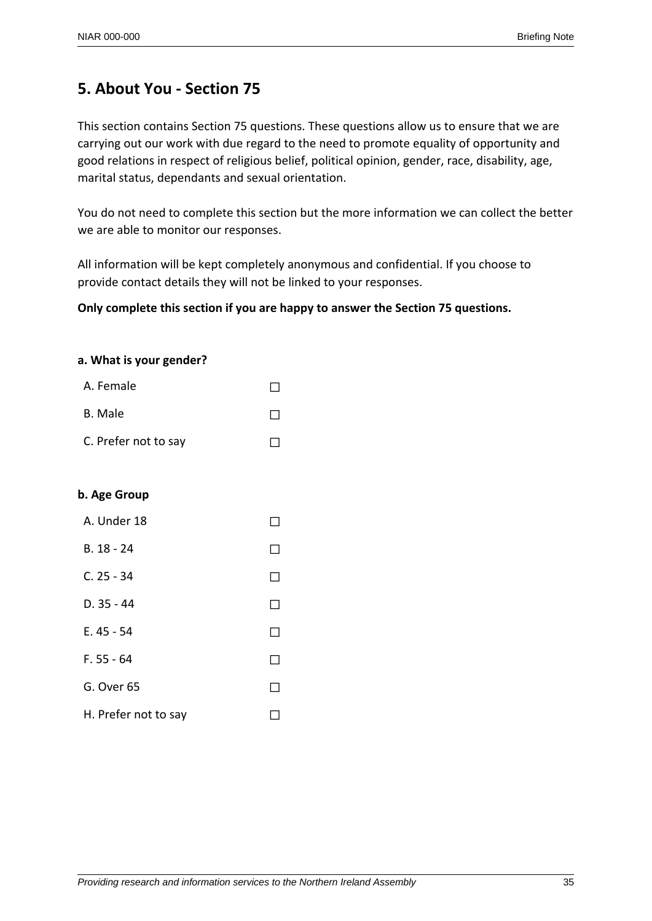# **5. About You - Section 75**

This section contains Section 75 questions. These questions allow us to ensure that we are carrying out our work with due regard to the need to promote equality of opportunity and good relations in respect of religious belief, political opinion, gender, race, disability, age, marital status, dependants and sexual orientation.

You do not need to complete this section but the more information we can collect the better we are able to monitor our responses.

All information will be kept completely anonymous and confidential. If you choose to provide contact details they will not be linked to your responses.

#### **Only complete this section if you are happy to answer the Section 75 questions.**

#### **a. What is your gender?**

| A. Female            |              |
|----------------------|--------------|
| B. Male              | $\mathsf{L}$ |
| C. Prefer not to say |              |

#### **b. Age Group**

| A. Under 18          |                          |
|----------------------|--------------------------|
| $B.18 - 24$          | $\overline{\phantom{a}}$ |
| $C. 25 - 34$         | $\overline{\phantom{a}}$ |
| $D.35 - 44$          | $\blacksquare$           |
| $E.45 - 54$          | $\blacksquare$           |
| $F. 55 - 64$         | $\blacksquare$           |
| G. Over 65           | ×.                       |
| H. Prefer not to say | $\overline{\phantom{a}}$ |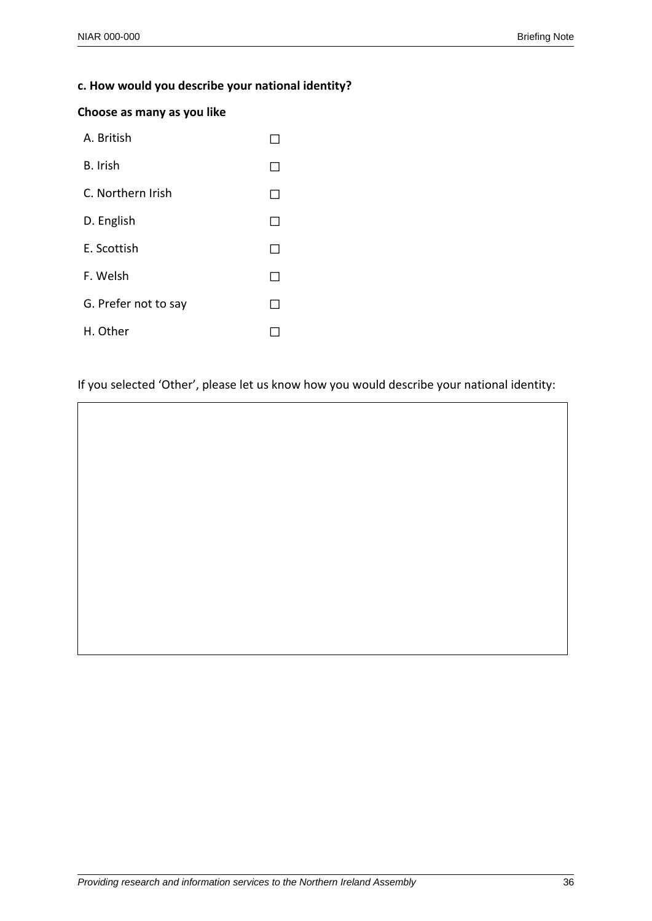## **c. How would you describe your national identity?**

#### **Choose as many as you like**

| A. British           |  |
|----------------------|--|
| B. Irish             |  |
| C. Northern Irish    |  |
| D. English           |  |
| E. Scottish          |  |
| F. Welsh             |  |
| G. Prefer not to say |  |
| H. Other             |  |

If you selected 'Other', please let us know how you would describe your national identity: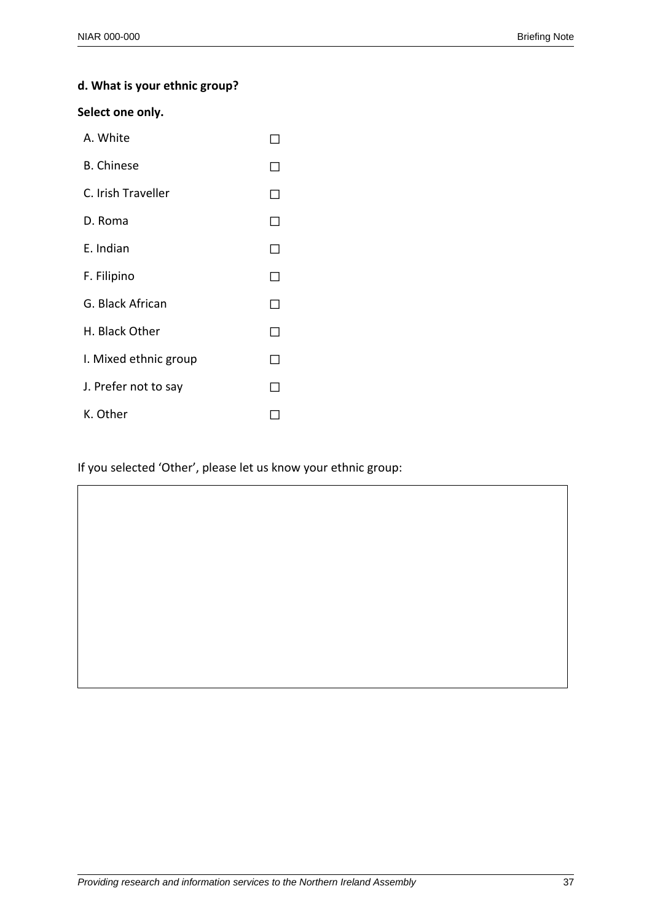## **d. What is your ethnic group?**

#### **Select one only.**

| A. White              |                          |
|-----------------------|--------------------------|
| <b>B.</b> Chinese     |                          |
| C. Irish Traveller    | $\overline{\phantom{a}}$ |
| D. Roma               | ΙI                       |
| E. Indian             |                          |
| F. Filipino           |                          |
| G. Black African      |                          |
| H. Black Other        | $\blacksquare$           |
| I. Mixed ethnic group | - 1                      |
| J. Prefer not to say  |                          |
| K. Other              |                          |

If you selected 'Other', please let us know your ethnic group: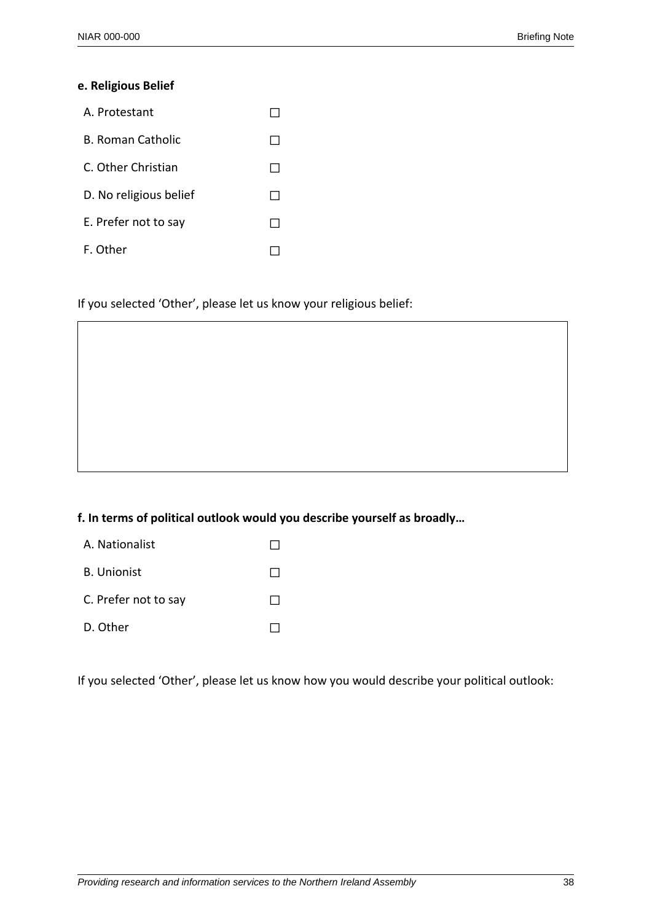#### **e. Religious Belief**

| A. Protestant          |  |
|------------------------|--|
| B. Roman Catholic      |  |
| C. Other Christian     |  |
| D. No religious belief |  |
| E. Prefer not to say   |  |
| F. Other               |  |

If you selected 'Other', please let us know your religious belief:

#### **f. In terms of political outlook would you describe yourself as broadly…**

- A. Nationalist □
- B. Unionist ☐
- C. Prefer not to say  $□$
- D. Other □

If you selected 'Other', please let us know how you would describe your political outlook: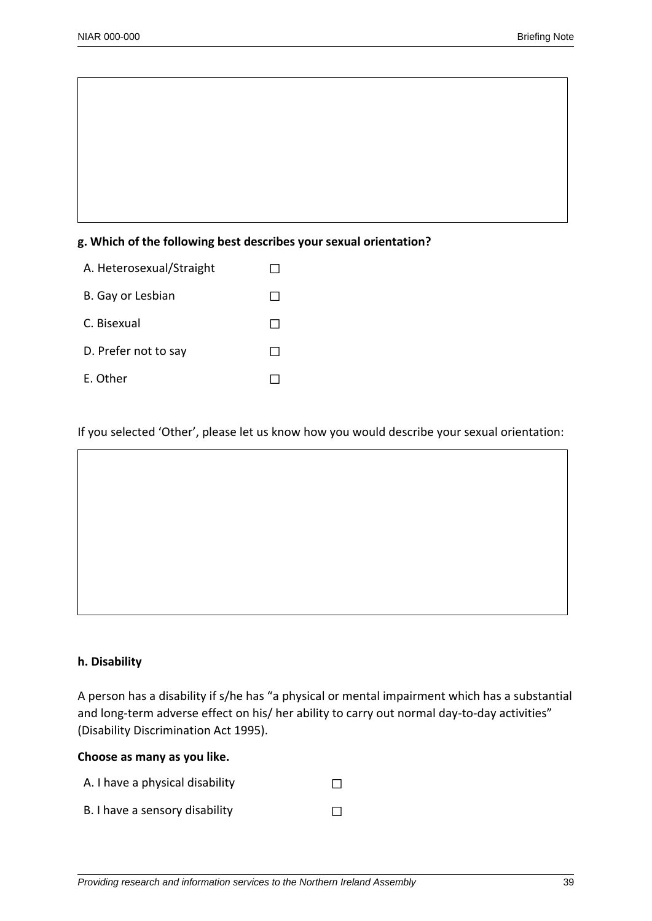#### **g. Which of the following best describes your sexual orientation?**

| A. Heterosexual/Straight |  |
|--------------------------|--|
| B. Gay or Lesbian        |  |
| C. Bisexual              |  |
| D. Prefer not to say     |  |
| E. Other                 |  |

If you selected 'Other', please let us know how you would describe your sexual orientation:

# **h. Disability**

A person has a disability if s/he has "a physical or mental impairment which has a substantial and long-term adverse effect on his/ her ability to carry out normal day-to-day activities" (Disability Discrimination Act 1995).

#### **Choose as many as you like.**

| A. I have a physical disability |  |
|---------------------------------|--|
| B. I have a sensory disability  |  |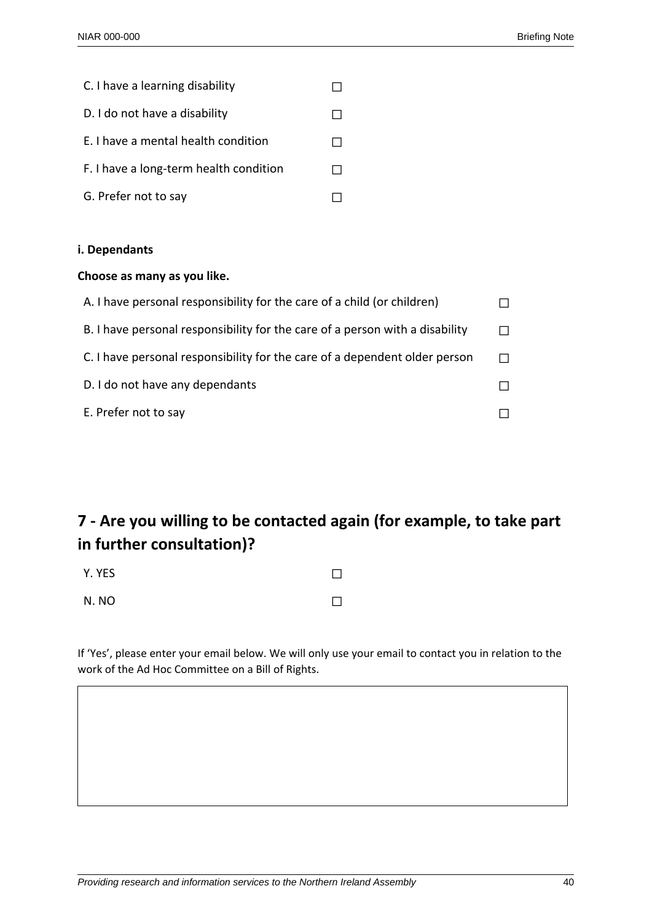| C. I have a learning disability        |  |
|----------------------------------------|--|
| D. I do not have a disability          |  |
| E. I have a mental health condition    |  |
| F. I have a long-term health condition |  |
| G. Prefer not to say                   |  |

#### **i. Dependants**

#### **Choose as many as you like.**

| A. I have personal responsibility for the care of a child (or children)      |  |
|------------------------------------------------------------------------------|--|
| B. I have personal responsibility for the care of a person with a disability |  |
| C. I have personal responsibility for the care of a dependent older person   |  |
| D. I do not have any dependants                                              |  |
| E. Prefer not to say                                                         |  |

# **7 - Are you willing to be contacted again (for example, to take part in further consultation)?**

| Y. YES |  |
|--------|--|
| N.NO   |  |

If 'Yes', please enter your email below. We will only use your email to contact you in relation to the work of the Ad Hoc Committee on a Bill of Rights.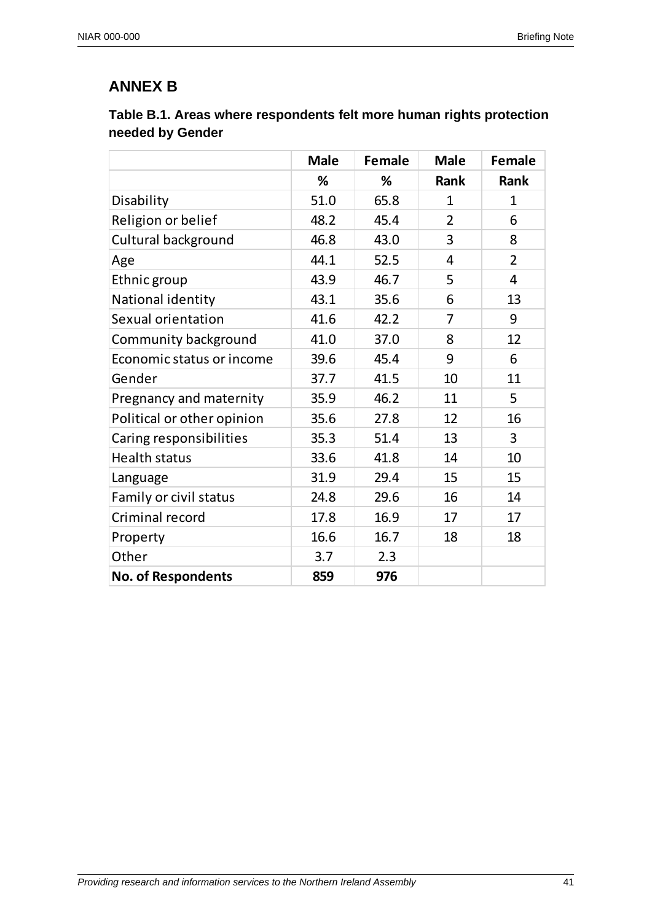# **ANNEX B**

| Table B.1. Areas where respondents felt more human rights protection |  |
|----------------------------------------------------------------------|--|
| needed by Gender                                                     |  |

|                            | <b>Male</b> | <b>Female</b> | <b>Male</b>    | <b>Female</b>  |
|----------------------------|-------------|---------------|----------------|----------------|
|                            | %           | %             | Rank           | Rank           |
| Disability                 | 51.0        | 65.8          | $\mathbf{1}$   | $\mathbf{1}$   |
| Religion or belief         | 48.2        | 45.4          | $\overline{2}$ | 6              |
| Cultural background        | 46.8        | 43.0          | 3              | 8              |
| Age                        | 44.1        | 52.5          | 4              | $\overline{2}$ |
| Ethnic group               | 43.9        | 46.7          | 5              | 4              |
| National identity          | 43.1        | 35.6          | 6              | 13             |
| Sexual orientation         | 41.6        | 42.2          | 7              | 9              |
| Community background       | 41.0        | 37.0          | 8              | 12             |
| Economic status or income  | 39.6        | 45.4          | 9              | 6              |
| Gender                     | 37.7        | 41.5          | 10             | 11             |
| Pregnancy and maternity    | 35.9        | 46.2          | 11             | 5              |
| Political or other opinion | 35.6        | 27.8          | 12             | 16             |
| Caring responsibilities    | 35.3        | 51.4          | 13             | 3              |
| <b>Health status</b>       | 33.6        | 41.8          | 14             | 10             |
| Language                   | 31.9        | 29.4          | 15             | 15             |
| Family or civil status     | 24.8        | 29.6          | 16             | 14             |
| Criminal record            | 17.8        | 16.9          | 17             | 17             |
| Property                   | 16.6        | 16.7          | 18             | 18             |
| Other                      | 3.7         | 2.3           |                |                |
| <b>No. of Respondents</b>  | 859         | 976           |                |                |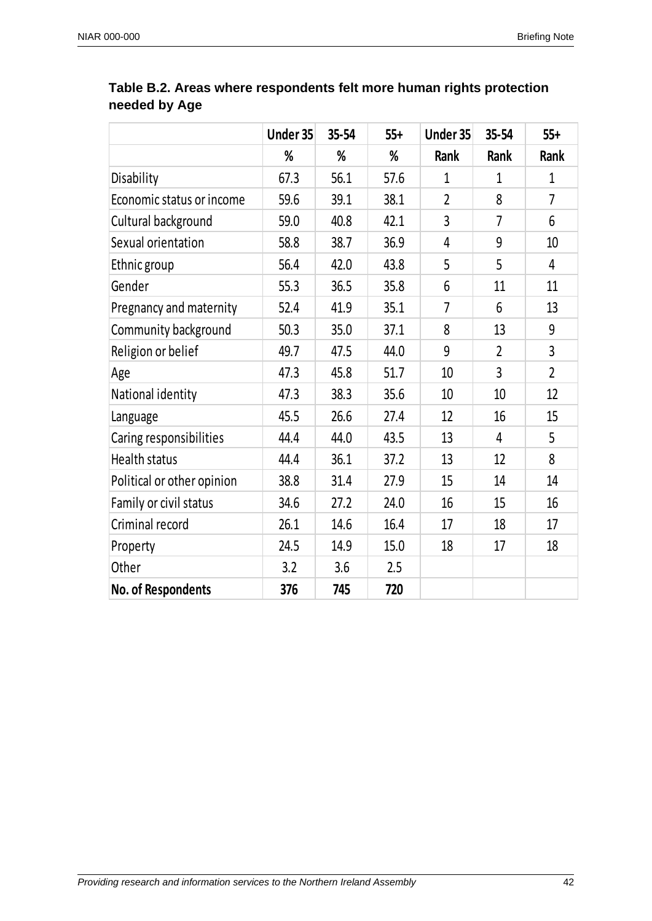|                            | Under 35 | 35-54 | $55+$ | Under 35       | 35-54          | $55+$          |
|----------------------------|----------|-------|-------|----------------|----------------|----------------|
|                            | %        | %     | %     | Rank           | Rank           | Rank           |
| Disability                 | 67.3     | 56.1  | 57.6  | $\mathbf{1}$   | 1              | $\mathbf{1}$   |
| Economic status or income  | 59.6     | 39.1  | 38.1  | $\overline{2}$ | 8              | $\overline{7}$ |
| Cultural background        | 59.0     | 40.8  | 42.1  | $\overline{3}$ | $\overline{7}$ | 6              |
| Sexual orientation         | 58.8     | 38.7  | 36.9  | 4              | 9              | 10             |
| Ethnic group               | 56.4     | 42.0  | 43.8  | 5              | 5              | 4              |
| Gender                     | 55.3     | 36.5  | 35.8  | 6              | 11             | 11             |
| Pregnancy and maternity    | 52.4     | 41.9  | 35.1  | $\overline{7}$ | 6              | 13             |
| Community background       | 50.3     | 35.0  | 37.1  | 8              | 13             | 9              |
| Religion or belief         | 49.7     | 47.5  | 44.0  | 9              | $\overline{2}$ | 3              |
| Age                        | 47.3     | 45.8  | 51.7  | 10             | $\overline{3}$ | $\overline{2}$ |
| National identity          | 47.3     | 38.3  | 35.6  | 10             | 10             | 12             |
| Language                   | 45.5     | 26.6  | 27.4  | 12             | 16             | 15             |
| Caring responsibilities    | 44.4     | 44.0  | 43.5  | 13             | 4              | 5              |
| <b>Health status</b>       | 44.4     | 36.1  | 37.2  | 13             | 12             | 8              |
| Political or other opinion | 38.8     | 31.4  | 27.9  | 15             | 14             | 14             |
| Family or civil status     | 34.6     | 27.2  | 24.0  | 16             | 15             | 16             |
| Criminal record            | 26.1     | 14.6  | 16.4  | 17             | 18             | 17             |
| Property                   | 24.5     | 14.9  | 15.0  | 18             | 17             | 18             |
| Other                      | 3.2      | 3.6   | 2.5   |                |                |                |
| No. of Respondents         | 376      | 745   | 720   |                |                |                |

# **Table B.2. Areas where respondents felt more human rights protection needed by Age**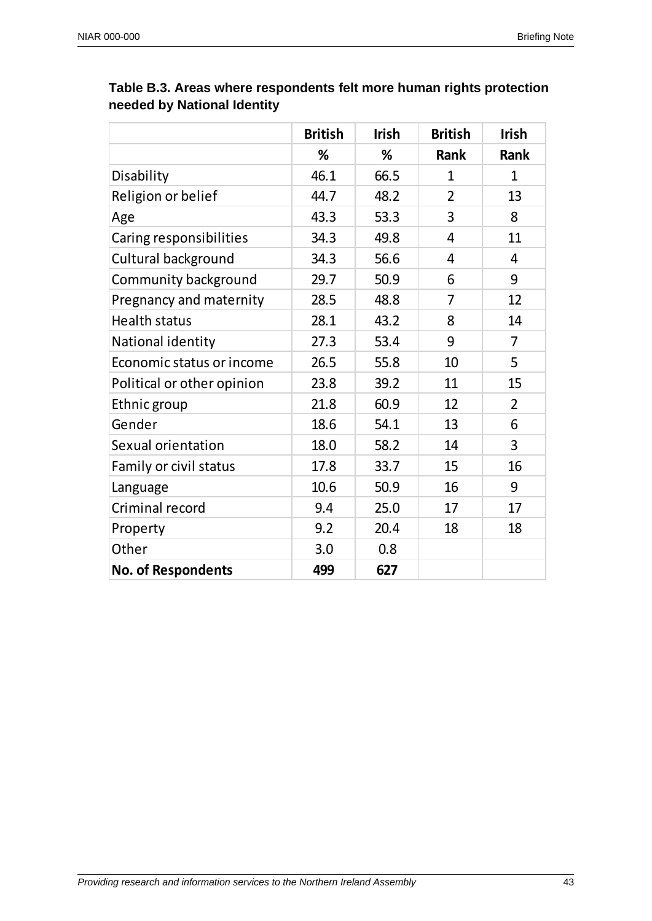|                            | <b>British</b> | <b>Irish</b> | <b>British</b> | <b>Irish</b>   |
|----------------------------|----------------|--------------|----------------|----------------|
|                            | %              | %            | <b>Rank</b>    | <b>Rank</b>    |
| Disability                 | 46.1           | 66.5         | $\mathbf{1}$   | $\mathbf 1$    |
| Religion or belief         | 44.7           | 48.2         | $\overline{2}$ | 13             |
| Age                        | 43.3           | 53.3         | 3              | 8              |
| Caring responsibilities    | 34.3           | 49.8         | 4              | 11             |
| Cultural background        | 34.3           | 56.6         | 4              | $\overline{4}$ |
| Community background       | 29.7           | 50.9         | 6              | 9              |
| Pregnancy and maternity    | 28.5           | 48.8         | $\overline{7}$ | 12             |
| <b>Health status</b>       | 28.1           | 43.2         | 8              | 14             |
| National identity          | 27.3           | 53.4         | 9              | 7              |
| Economic status or income  | 26.5           | 55.8         | 10             | 5              |
| Political or other opinion | 23.8           | 39.2         | 11             | 15             |
| Ethnic group               | 21.8           | 60.9         | 12             | $\overline{2}$ |
| Gender                     | 18.6           | 54.1         | 13             | 6              |
| Sexual orientation         | 18.0           | 58.2         | 14             | 3              |
| Family or civil status     | 17.8           | 33.7         | 15             | 16             |
| Language                   | 10.6           | 50.9         | 16             | 9              |
| Criminal record            | 9.4            | 25.0         | 17             | 17             |
| Property                   | 9.2            | 20.4         | 18             | 18             |
| Other                      | 3.0            | 0.8          |                |                |
| <b>No. of Respondents</b>  | 499            | 627          |                |                |

# **Table B.3. Areas where respondents felt more human rights protection needed by National Identity**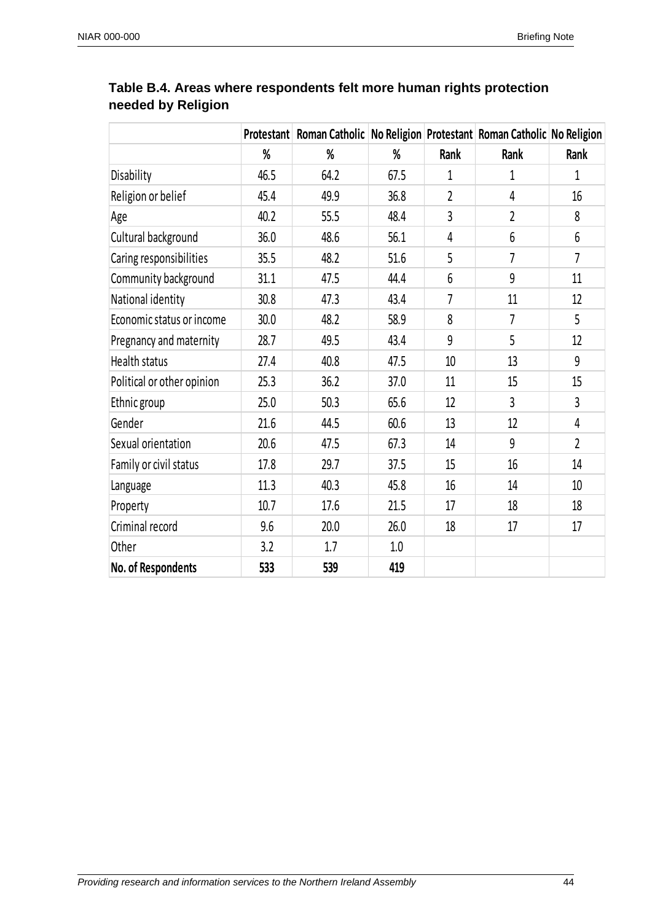|                            |      | Protestant Roman Catholic No Religion Protestant Roman Catholic No Religion |      |                |                |                 |
|----------------------------|------|-----------------------------------------------------------------------------|------|----------------|----------------|-----------------|
|                            | %    | %                                                                           | %    | Rank           | Rank           | Rank            |
| Disability                 | 46.5 | 64.2                                                                        | 67.5 | 1              | 1              | $\mathbf{1}$    |
| Religion or belief         | 45.4 | 49.9                                                                        | 36.8 | $\overline{2}$ | 4              | 16              |
| Age                        | 40.2 | 55.5                                                                        | 48.4 | $\overline{3}$ | $\overline{2}$ | 8               |
| Cultural background        | 36.0 | 48.6                                                                        | 56.1 | 4              | 6              | 6               |
| Caring responsibilities    | 35.5 | 48.2                                                                        | 51.6 | 5              | $\overline{7}$ | $\overline{7}$  |
| Community background       | 31.1 | 47.5                                                                        | 44.4 | 6              | 9              | 11              |
| National identity          | 30.8 | 47.3                                                                        | 43.4 | $\overline{7}$ | 11             | 12              |
| Economic status or income  | 30.0 | 48.2                                                                        | 58.9 | 8              | 7              | 5               |
| Pregnancy and maternity    | 28.7 | 49.5                                                                        | 43.4 | 9              | 5              | 12              |
| Health status              | 27.4 | 40.8                                                                        | 47.5 | 10             | 13             | 9               |
| Political or other opinion | 25.3 | 36.2                                                                        | 37.0 | 11             | 15             | 15              |
| Ethnic group               | 25.0 | 50.3                                                                        | 65.6 | 12             | $\overline{3}$ | $\overline{3}$  |
| Gender                     | 21.6 | 44.5                                                                        | 60.6 | 13             | 12             | 4               |
| Sexual orientation         | 20.6 | 47.5                                                                        | 67.3 | 14             | 9              | $\overline{2}$  |
| Family or civil status     | 17.8 | 29.7                                                                        | 37.5 | 15             | 16             | 14              |
| Language                   | 11.3 | 40.3                                                                        | 45.8 | 16             | 14             | 10 <sup>°</sup> |
| Property                   | 10.7 | 17.6                                                                        | 21.5 | 17             | 18             | 18              |
| Criminal record            | 9.6  | 20.0                                                                        | 26.0 | 18             | 17             | 17              |
| Other                      | 3.2  | 1.7                                                                         | 1.0  |                |                |                 |
| No. of Respondents         | 533  | 539                                                                         | 419  |                |                |                 |

# **Table B.4. Areas where respondents felt more human rights protection needed by Religion**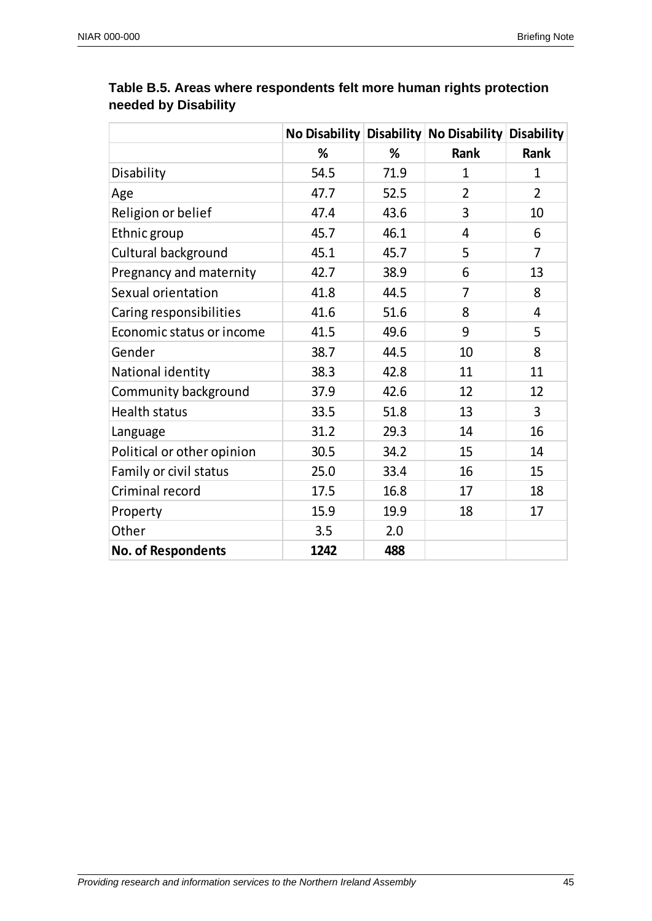|                            |      |      | No Disability Disability No Disability Disability |                |
|----------------------------|------|------|---------------------------------------------------|----------------|
|                            | %    | %    | <b>Rank</b>                                       | Rank           |
| Disability                 | 54.5 | 71.9 | $\mathbf{1}$                                      | $\mathbf{1}$   |
| Age                        | 47.7 | 52.5 | $\overline{2}$                                    | $\overline{2}$ |
| Religion or belief         | 47.4 | 43.6 | 3                                                 | 10             |
| Ethnic group               | 45.7 | 46.1 | 4                                                 | 6              |
| Cultural background        | 45.1 | 45.7 | 5                                                 | $\overline{7}$ |
| Pregnancy and maternity    | 42.7 | 38.9 | 6                                                 | 13             |
| Sexual orientation         | 41.8 | 44.5 | $\overline{7}$                                    | 8              |
| Caring responsibilities    | 41.6 | 51.6 | 8                                                 | 4              |
| Economic status or income  | 41.5 | 49.6 | 9                                                 | 5              |
| Gender                     | 38.7 | 44.5 | 10                                                | 8              |
| National identity          | 38.3 | 42.8 | 11                                                | 11             |
| Community background       | 37.9 | 42.6 | 12                                                | 12             |
| <b>Health status</b>       | 33.5 | 51.8 | 13                                                | 3              |
| Language                   | 31.2 | 29.3 | 14                                                | 16             |
| Political or other opinion | 30.5 | 34.2 | 15                                                | 14             |
| Family or civil status     | 25.0 | 33.4 | 16                                                | 15             |
| Criminal record            | 17.5 | 16.8 | 17                                                | 18             |
| Property                   | 15.9 | 19.9 | 18                                                | 17             |
| Other                      | 3.5  | 2.0  |                                                   |                |
| <b>No. of Respondents</b>  | 1242 | 488  |                                                   |                |

# **Table B.5. Areas where respondents felt more human rights protection needed by Disability**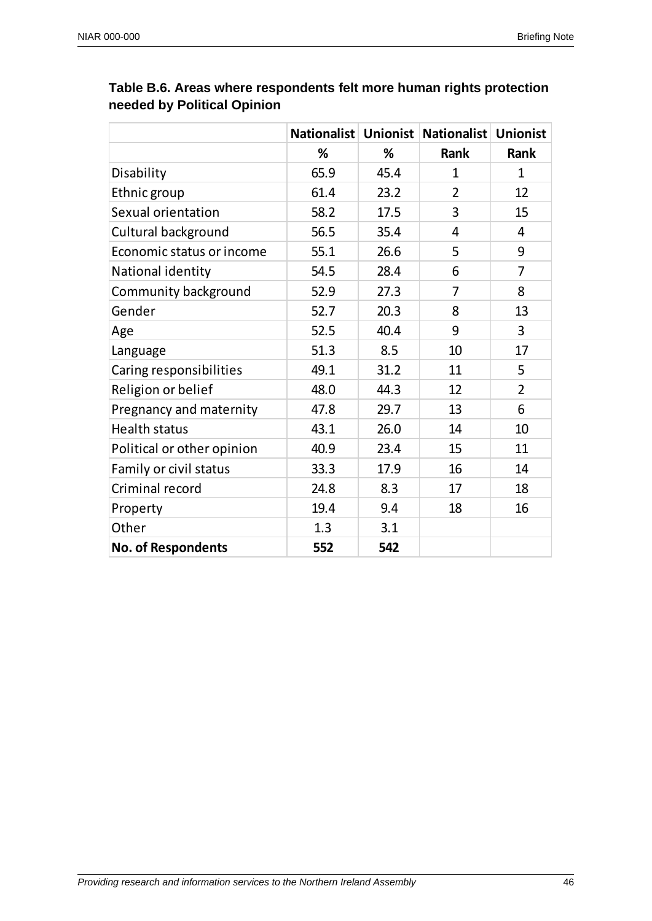|                            |      |      | Nationalist Unionist Nationalist Unionist |                |
|----------------------------|------|------|-------------------------------------------|----------------|
|                            | %    | %    | Rank                                      | Rank           |
| Disability                 | 65.9 | 45.4 | $\mathbf{1}$                              | $\mathbf{1}$   |
| Ethnic group               | 61.4 | 23.2 | $\overline{2}$                            | 12             |
| Sexual orientation         | 58.2 | 17.5 | 3                                         | 15             |
| Cultural background        | 56.5 | 35.4 | 4                                         | 4              |
| Economic status or income  | 55.1 | 26.6 | 5                                         | 9              |
| National identity          | 54.5 | 28.4 | 6                                         | 7              |
| Community background       | 52.9 | 27.3 | 7                                         | 8              |
| Gender                     | 52.7 | 20.3 | 8                                         | 13             |
| Age                        | 52.5 | 40.4 | 9                                         | 3              |
| Language                   | 51.3 | 8.5  | 10                                        | 17             |
| Caring responsibilities    | 49.1 | 31.2 | 11                                        | 5              |
| Religion or belief         | 48.0 | 44.3 | 12                                        | $\overline{2}$ |
| Pregnancy and maternity    | 47.8 | 29.7 | 13                                        | 6              |
| <b>Health status</b>       | 43.1 | 26.0 | 14                                        | 10             |
| Political or other opinion | 40.9 | 23.4 | 15                                        | 11             |
| Family or civil status     | 33.3 | 17.9 | 16                                        | 14             |
| Criminal record            | 24.8 | 8.3  | 17                                        | 18             |
| Property                   | 19.4 | 9.4  | 18                                        | 16             |
| Other                      | 1.3  | 3.1  |                                           |                |
| <b>No. of Respondents</b>  | 552  | 542  |                                           |                |

# **Table B.6. Areas where respondents felt more human rights protection needed by Political Opinion**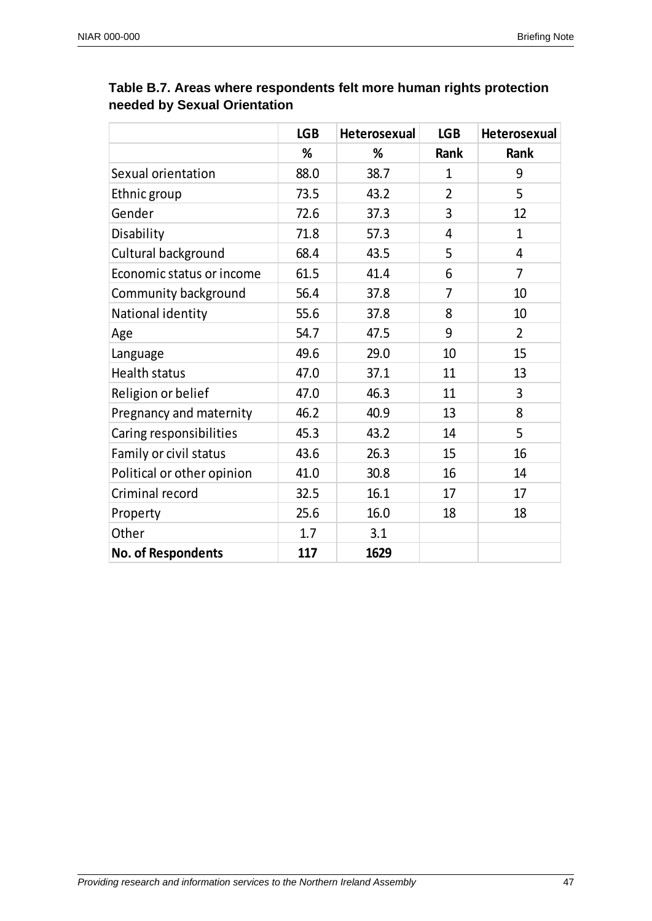|                            | <b>LGB</b> | <b>Heterosexual</b> | <b>LGB</b>     | <b>Heterosexual</b> |
|----------------------------|------------|---------------------|----------------|---------------------|
|                            | %          | %                   | <b>Rank</b>    | <b>Rank</b>         |
| Sexual orientation         | 88.0       | 38.7                | $\mathbf{1}$   | 9                   |
| Ethnic group               | 73.5       | 43.2                | $\overline{2}$ | 5                   |
| Gender                     | 72.6       | 37.3                | 3              | 12                  |
| Disability                 | 71.8       | 57.3                | 4              | $\mathbf{1}$        |
| Cultural background        | 68.4       | 43.5                | 5              | 4                   |
| Economic status or income  | 61.5       | 41.4                | 6              | 7                   |
| Community background       | 56.4       | 37.8                | $\overline{7}$ | 10                  |
| National identity          | 55.6       | 37.8                | 8              | 10                  |
| Age                        | 54.7       | 47.5                | 9              | $\overline{2}$      |
| Language                   | 49.6       | 29.0                | 10             | 15                  |
| <b>Health status</b>       | 47.0       | 37.1                | 11             | 13                  |
| Religion or belief         | 47.0       | 46.3                | 11             | 3                   |
| Pregnancy and maternity    | 46.2       | 40.9                | 13             | 8                   |
| Caring responsibilities    | 45.3       | 43.2                | 14             | 5                   |
| Family or civil status     | 43.6       | 26.3                | 15             | 16                  |
| Political or other opinion | 41.0       | 30.8                | 16             | 14                  |
| Criminal record            | 32.5       | 16.1                | 17             | 17                  |
| Property                   | 25.6       | 16.0                | 18             | 18                  |
| Other                      | 1.7        | 3.1                 |                |                     |
| <b>No. of Respondents</b>  | 117        | 1629                |                |                     |

# **Table B.7. Areas where respondents felt more human rights protection needed by Sexual Orientation**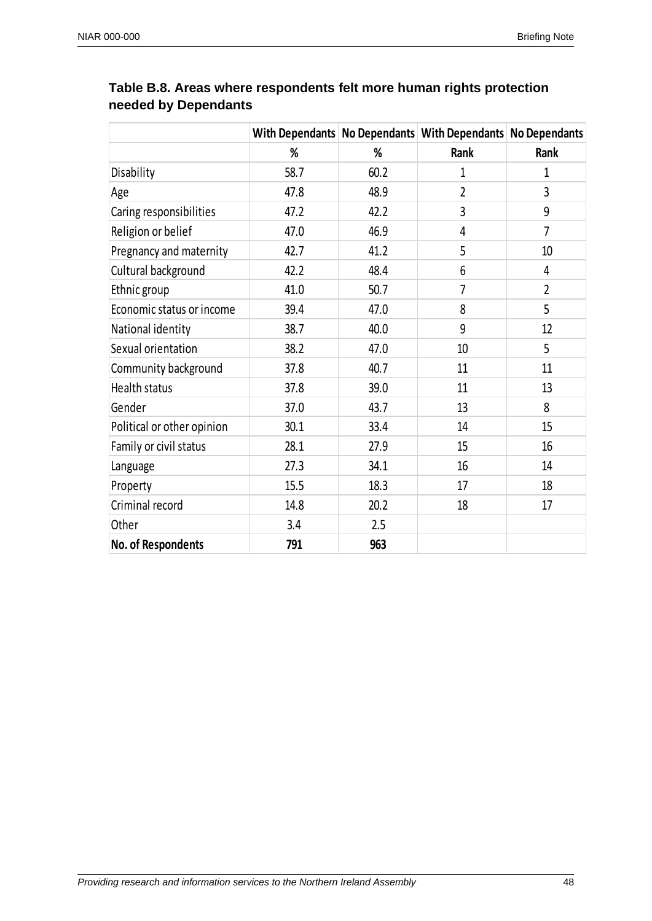|                            |      |      | With Dependants No Dependants With Dependants No Dependants |                |
|----------------------------|------|------|-------------------------------------------------------------|----------------|
|                            | %    | %    | Rank                                                        | Rank           |
| Disability                 | 58.7 | 60.2 | $\mathbf{1}$                                                | $\mathbf{1}$   |
| Age                        | 47.8 | 48.9 | $\overline{2}$                                              | 3              |
| Caring responsibilities    | 47.2 | 42.2 | 3                                                           | 9              |
| Religion or belief         | 47.0 | 46.9 | 4                                                           | $\overline{7}$ |
| Pregnancy and maternity    | 42.7 | 41.2 | 5                                                           | 10             |
| Cultural background        | 42.2 | 48.4 | 6                                                           | 4              |
| Ethnic group               | 41.0 | 50.7 | 7                                                           | $\overline{2}$ |
| Economic status or income  | 39.4 | 47.0 | 8                                                           | 5              |
| National identity          | 38.7 | 40.0 | 9                                                           | 12             |
| Sexual orientation         | 38.2 | 47.0 | 10                                                          | 5              |
| Community background       | 37.8 | 40.7 | 11                                                          | 11             |
| Health status              | 37.8 | 39.0 | 11                                                          | 13             |
| Gender                     | 37.0 | 43.7 | 13                                                          | 8              |
| Political or other opinion | 30.1 | 33.4 | 14                                                          | 15             |
| Family or civil status     | 28.1 | 27.9 | 15                                                          | 16             |
| Language                   | 27.3 | 34.1 | 16                                                          | 14             |
| Property                   | 15.5 | 18.3 | 17                                                          | 18             |
| Criminal record            | 14.8 | 20.2 | 18                                                          | 17             |
| Other                      | 3.4  | 2.5  |                                                             |                |
| No. of Respondents         | 791  | 963  |                                                             |                |

# **Table B.8. Areas where respondents felt more human rights protection needed by Dependants**